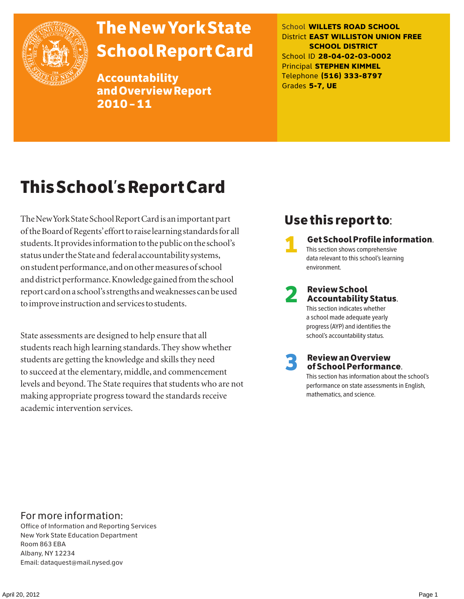

# The New York State School Report Card

Accountability and Overview Report 2010–11

School **WILLETS ROAD SCHOOL** District **EAST WILLISTON UNION FREE SCHOOL DISTRICT** School ID **28-04-02-03-0002** Principal **STEPHEN KIMMEL** Telephone **(516) 333-8797** Grades **5-7, UE**

# This School's Report Card

The New York State School Report Card is an important part of the Board of Regents' effort to raise learning standards for all students. It provides information to the public on the school's status under the State and federal accountability systems, on student performance, and on other measures of school and district performance. Knowledge gained from the school report card on a school's strengths and weaknesses can be used to improve instruction and services to students.

State assessments are designed to help ensure that all students reach high learning standards. They show whether students are getting the knowledge and skills they need to succeed at the elementary, middle, and commencement levels and beyond. The State requires that students who are not making appropriate progress toward the standards receive academic intervention services.

### Use this report to:

1 Get School Profile information. This section shows comprehensive data relevant to this school's learning environment.

# 2 Review School Accountability Status.

This section indicates whether a school made adequate yearly progress (AYP) and identifies the school's accountability status.

3 Review an Overview of School Performance.

This section has information about the school's performance on state assessments in English, mathematics, and science.

### For more information:

Office of Information and Reporting Services New York State Education Department Room 863 EBA Albany, NY 12234 Email: dataquest@mail.nysed.gov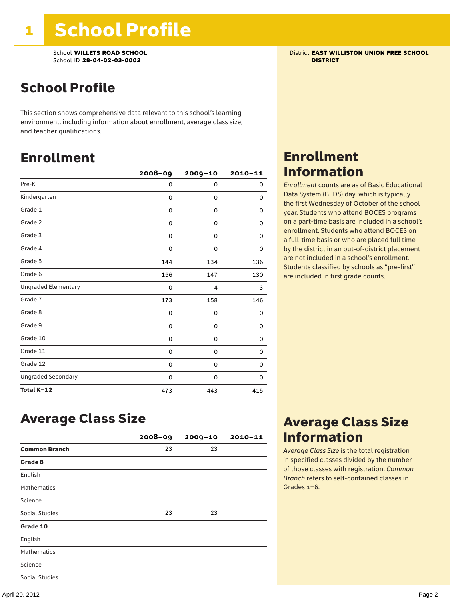School **WILLETS ROAD SCHOOL** District **EAST WILLISTON UNION FREE SCHOOL** School ID **28-04-02-03-0002 DISTRICT**

# School Profile

This section shows comprehensive data relevant to this school's learning environment, including information about enrollment, average class size, and teacher qualifications.

### Enrollment

|                            | $2008 - 09$ | 2009-10 | $2010 - 11$ |
|----------------------------|-------------|---------|-------------|
| Pre-K                      | 0           | 0       | 0           |
| Kindergarten               | 0           | 0       | 0           |
| Grade 1                    | 0           | 0       | 0           |
| Grade 2                    | 0           | 0       | 0           |
| Grade 3                    | 0           | 0       | 0           |
| Grade 4                    | 0           | 0       | 0           |
| Grade 5                    | 144         | 134     | 136         |
| Grade 6                    | 156         | 147     | 130         |
| <b>Ungraded Elementary</b> | 0           | 4       | 3           |
| Grade 7                    | 173         | 158     | 146         |
| Grade 8                    | 0           | 0       | 0           |
| Grade 9                    | 0           | 0       | 0           |
| Grade 10                   | 0           | 0       | 0           |
| Grade 11                   | 0           | 0       | 0           |
| Grade 12                   | 0           | 0       | 0           |
| <b>Ungraded Secondary</b>  | 0           | 0       | 0           |
| Total K-12                 | 473         | 443     | 415         |

### Enrollment Information

*Enrollment* counts are as of Basic Educational Data System (BEDS) day, which is typically the first Wednesday of October of the school year. Students who attend BOCES programs on a part-time basis are included in a school's enrollment. Students who attend BOCES on a full-time basis or who are placed full time by the district in an out-of-district placement are not included in a school's enrollment. Students classified by schools as "pre-first" are included in first grade counts.

### Average Class Size

|                       | $2008 - 09$ | $2009 - 10$ | $2010 - 11$ |
|-----------------------|-------------|-------------|-------------|
| <b>Common Branch</b>  | 23          | 23          |             |
| Grade 8               |             |             |             |
| English               |             |             |             |
| <b>Mathematics</b>    |             |             |             |
| Science               |             |             |             |
| <b>Social Studies</b> | 23          | 23          |             |
| Grade 10              |             |             |             |
| English               |             |             |             |
| <b>Mathematics</b>    |             |             |             |
| Science               |             |             |             |
| <b>Social Studies</b> |             |             |             |

### Average Class Size Information

*Average Class Size* is the total registration in specified classes divided by the number of those classes with registration. *Common Branch* refers to self-contained classes in Grades 1–6.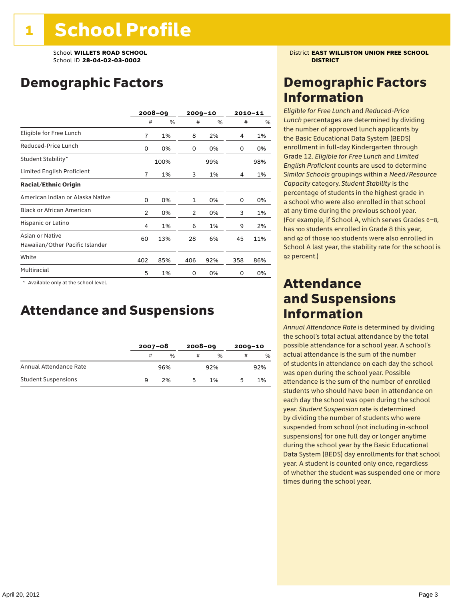## Demographic Factors

|                                                    |                | 2008-09 |     | $2009 - 10$ |     | 2010-11 |
|----------------------------------------------------|----------------|---------|-----|-------------|-----|---------|
|                                                    | #              | %       | #   | %           | #   | %       |
| Eligible for Free Lunch                            | 7              | 1%      | 8   | 2%          | 4   | 1%      |
| Reduced-Price Lunch                                | 0              | 0%      | 0   | 0%          | 0   | 0%      |
| Student Stability*                                 |                | 100%    |     | 99%         |     | 98%     |
| Limited English Proficient                         | 7              | 1%      | 3   | 1%          | 4   | 1%      |
| <b>Racial/Ethnic Origin</b>                        |                |         |     |             |     |         |
| American Indian or Alaska Native                   | 0              | 0%      | 1   | 0%          | 0   | 0%      |
| <b>Black or African American</b>                   | $\overline{2}$ | 0%      | 2   | 0%          | 3   | 1%      |
| Hispanic or Latino                                 | 4              | 1%      | 6   | 1%          | 9   | 2%      |
| Asian or Native<br>Hawaiian/Other Pacific Islander | 60             | 13%     | 28  | 6%          | 45  | 11%     |
| White                                              | 402            | 85%     | 406 | 92%         | 358 | 86%     |
| Multiracial                                        | 5              | 1%      | 0   | 0%          | 0   | 0%      |

 \* Available only at the school level.

### Attendance and Suspensions

|                            |   | $2007 - 08$   |    | $2008 - 09$   |   | $2009 - 10$ |  |
|----------------------------|---|---------------|----|---------------|---|-------------|--|
|                            | # | $\frac{0}{0}$ | #  | $\frac{0}{6}$ | # | %           |  |
| Annual Attendance Rate     |   | 96%           |    | 92%           |   | 92%         |  |
| <b>Student Suspensions</b> | a | 2%            | 'n | 1%            |   | 1%          |  |

School **WILLETS ROAD SCHOOL** District **EAST WILLISTON UNION FREE SCHOOL**

### Demographic Factors Information

*Eligible for Free Lunch* and *Reduced*-*Price Lunch* percentages are determined by dividing the number of approved lunch applicants by the Basic Educational Data System (BEDS) enrollment in full-day Kindergarten through Grade 12. *Eligible for Free Lunch* and *Limited English Proficient* counts are used to determine *Similar Schools* groupings within a *Need*/*Resource Capacity* category. *Student Stability* is the percentage of students in the highest grade in a school who were also enrolled in that school at any time during the previous school year. (For example, if School A, which serves Grades 6–8, has 100 students enrolled in Grade 8 this year, and 92 of those 100 students were also enrolled in School A last year, the stability rate for the school is 92 percent.)

### Attendance and Suspensions Information

*Annual Attendance Rate* is determined by dividing the school's total actual attendance by the total possible attendance for a school year. A school's actual attendance is the sum of the number of students in attendance on each day the school was open during the school year. Possible attendance is the sum of the number of enrolled students who should have been in attendance on each day the school was open during the school year. *Student Suspension* rate is determined by dividing the number of students who were suspended from school (not including in-school suspensions) for one full day or longer anytime during the school year by the Basic Educational Data System (BEDS) day enrollments for that school year. A student is counted only once, regardless of whether the student was suspended one or more times during the school year.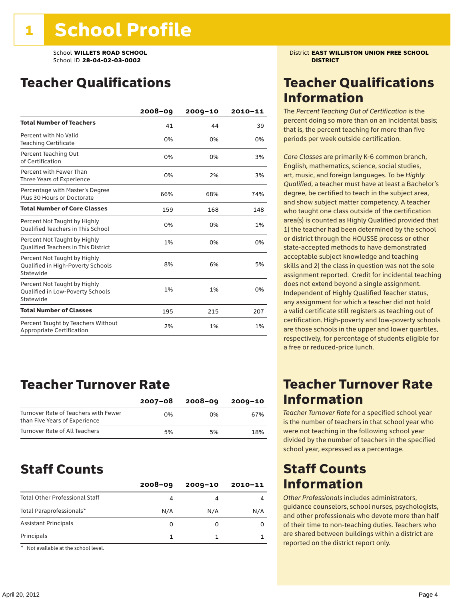### Teacher Qualifications

|                                                                                | 2008-09 | 2009-10 | 2010-11 |
|--------------------------------------------------------------------------------|---------|---------|---------|
| <b>Total Number of Teachers</b>                                                | 41      | 44      | 39      |
| Percent with No Valid<br><b>Teaching Certificate</b>                           | 0%      | 0%      | 0%      |
| Percent Teaching Out<br>of Certification                                       | 0%      | 0%      | 3%      |
| Percent with Fewer Than<br>Three Years of Experience                           | 0%      | 2%      | 3%      |
| Percentage with Master's Degree<br>Plus 30 Hours or Doctorate                  | 66%     | 68%     | 74%     |
| <b>Total Number of Core Classes</b>                                            | 159     | 168     | 148     |
| Percent Not Taught by Highly<br><b>Oualified Teachers in This School</b>       | 0%      | 0%      | 1%      |
| Percent Not Taught by Highly<br><b>Oualified Teachers in This District</b>     | 1%      | 0%      | 0%      |
| Percent Not Taught by Highly<br>Qualified in High-Poverty Schools<br>Statewide | 8%      | 6%      | 5%      |
| Percent Not Taught by Highly<br>Qualified in Low-Poverty Schools<br>Statewide  | 1%      | 1%      | 0%      |
| <b>Total Number of Classes</b>                                                 | 195     | 215     | 207     |
| Percent Taught by Teachers Without<br>Appropriate Certification                | 2%      | 1%      | 1%      |

### Teacher Turnover Rate

|                                                                       | 2007-08 | 2008-09 | 2009-10 |
|-----------------------------------------------------------------------|---------|---------|---------|
| Turnover Rate of Teachers with Fewer<br>than Five Years of Experience | በ%      | በ%      | 67%     |
| Turnover Rate of All Teachers                                         | 5%      | 5%      | 18%     |

### Staff Counts

| $2008 - 09$ | $2009 - 10$ | $2010 - 11$ |
|-------------|-------------|-------------|
| 4           |             |             |
| N/A         | N/A         | N/A         |
| 0           |             |             |
|             |             |             |
|             |             |             |

\* Not available at the school level.

School **WILLETS ROAD SCHOOL** District **EAST WILLISTON UNION FREE SCHOOL**

### Teacher Qualifications Information

The *Percent Teaching Out of Certification* is the percent doing so more than on an incidental basis; that is, the percent teaching for more than five periods per week outside certification.

*Core Classes* are primarily K-6 common branch, English, mathematics, science, social studies, art, music, and foreign languages. To be *Highly Qualified*, a teacher must have at least a Bachelor's degree, be certified to teach in the subject area, and show subject matter competency. A teacher who taught one class outside of the certification area(s) is counted as Highly Qualified provided that 1) the teacher had been determined by the school or district through the HOUSSE process or other state-accepted methods to have demonstrated acceptable subject knowledge and teaching skills and 2) the class in question was not the sole assignment reported. Credit for incidental teaching does not extend beyond a single assignment. Independent of Highly Qualified Teacher status, any assignment for which a teacher did not hold a valid certificate still registers as teaching out of certification. High-poverty and low-poverty schools are those schools in the upper and lower quartiles, respectively, for percentage of students eligible for a free or reduced-price lunch.

### Teacher Turnover Rate Information

*Teacher Turnover Rate* for a specified school year is the number of teachers in that school year who were not teaching in the following school year divided by the number of teachers in the specified school year, expressed as a percentage.

### Staff Counts Information

*Other Professionals* includes administrators, guidance counselors, school nurses, psychologists, and other professionals who devote more than half of their time to non-teaching duties. Teachers who are shared between buildings within a district are reported on the district report only.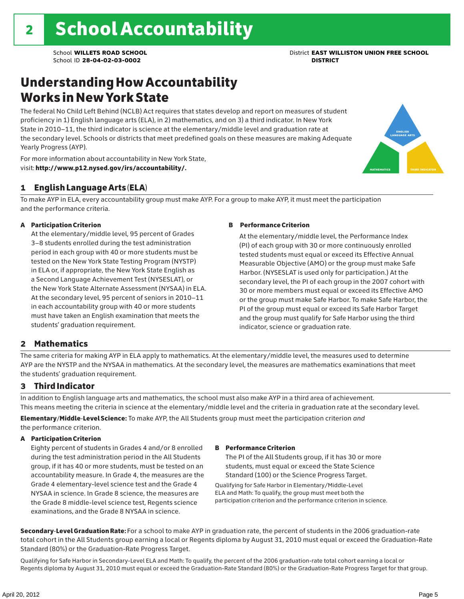### Understanding How Accountability Works in New York State

The federal No Child Left Behind (NCLB) Act requires that states develop and report on measures of student proficiency in 1) English language arts (ELA), in 2) mathematics, and on 3) a third indicator. In New York State in 2010–11, the third indicator is science at the elementary/middle level and graduation rate at the secondary level. Schools or districts that meet predefined goals on these measures are making Adequate Yearly Progress (AYP).



For more information about accountability in New York State, visit: http://www.p12.nysed.gov/irs/accountability/.

### 1 English Language Arts (ELA)

To make AYP in ELA, every accountability group must make AYP. For a group to make AYP, it must meet the participation and the performance criteria.

#### A Participation Criterion

At the elementary/middle level, 95 percent of Grades 3–8 students enrolled during the test administration period in each group with 40 or more students must be tested on the New York State Testing Program (NYSTP) in ELA or, if appropriate, the New York State English as a Second Language Achievement Test (NYSESLAT), or the New York State Alternate Assessment (NYSAA) in ELA. At the secondary level, 95 percent of seniors in 2010–11 in each accountability group with 40 or more students must have taken an English examination that meets the students' graduation requirement.

#### B Performance Criterion

At the elementary/middle level, the Performance Index (PI) of each group with 30 or more continuously enrolled tested students must equal or exceed its Effective Annual Measurable Objective (AMO) or the group must make Safe Harbor. (NYSESLAT is used only for participation.) At the secondary level, the PI of each group in the 2007 cohort with 30 or more members must equal or exceed its Effective AMO or the group must make Safe Harbor. To make Safe Harbor, the PI of the group must equal or exceed its Safe Harbor Target and the group must qualify for Safe Harbor using the third indicator, science or graduation rate.

### 2 Mathematics

The same criteria for making AYP in ELA apply to mathematics. At the elementary/middle level, the measures used to determine AYP are the NYSTP and the NYSAA in mathematics. At the secondary level, the measures are mathematics examinations that meet the students' graduation requirement.

### 3 Third Indicator

In addition to English language arts and mathematics, the school must also make AYP in a third area of achievement. This means meeting the criteria in science at the elementary/middle level and the criteria in graduation rate at the secondary level.

Elementary/Middle-Level Science: To make AYP, the All Students group must meet the participation criterion *and* the performance criterion.

#### A Participation Criterion

Eighty percent of students in Grades 4 and/or 8 enrolled during the test administration period in the All Students group, if it has 40 or more students, must be tested on an accountability measure. In Grade 4, the measures are the Grade 4 elementary-level science test and the Grade 4 NYSAA in science. In Grade 8 science, the measures are the Grade 8 middle-level science test, Regents science examinations, and the Grade 8 NYSAA in science.

#### B Performance Criterion

The PI of the All Students group, if it has 30 or more students, must equal or exceed the State Science Standard (100) or the Science Progress Target.

Qualifying for Safe Harbor in Elementary/Middle-Level ELA and Math: To qualify, the group must meet both the participation criterion and the performance criterion in science.

Secondary-Level Graduation Rate: For a school to make AYP in graduation rate, the percent of students in the 2006 graduation-rate total cohort in the All Students group earning a local or Regents diploma by August 31, 2010 must equal or exceed the Graduation-Rate Standard (80%) or the Graduation-Rate Progress Target.

Qualifying for Safe Harbor in Secondary-Level ELA and Math: To qualify, the percent of the 2006 graduation-rate total cohort earning a local or Regents diploma by August 31, 2010 must equal or exceed the Graduation-Rate Standard (80%) or the Graduation-Rate Progress Target for that group.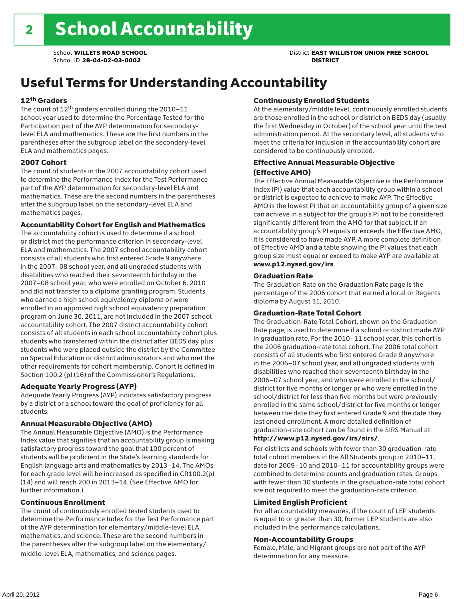# Useful Terms for Understanding Accountability

#### 12th Graders

The count of 12th graders enrolled during the 2010–11 school year used to determine the Percentage Tested for the Participation part of the AYP determination for secondarylevel ELA and mathematics. These are the first numbers in the parentheses after the subgroup label on the secondary-level ELA and mathematics pages.

#### 2007 Cohort

The count of students in the 2007 accountability cohort used to determine the Performance Index for the Test Performance part of the AYP determination for secondary-level ELA and mathematics. These are the second numbers in the parentheses after the subgroup label on the secondary-level ELA and mathematics pages.

#### Accountability Cohort for English and Mathematics

The accountability cohort is used to determine if a school or district met the performance criterion in secondary-level ELA and mathematics. The 2007 school accountability cohort consists of all students who first entered Grade 9 anywhere in the 2007–08 school year, and all ungraded students with disabilities who reached their seventeenth birthday in the 2007–08 school year, who were enrolled on October 6, 2010 and did not transfer to a diploma granting program. Students who earned a high school equivalency diploma or were enrolled in an approved high school equivalency preparation program on June 30, 2011, are not included in the 2007 school accountability cohort. The 2007 district accountability cohort consists of all students in each school accountability cohort plus students who transferred within the district after BEDS day plus students who were placed outside the district by the Committee on Special Education or district administrators and who met the other requirements for cohort membership. Cohort is defined in Section 100.2 (p) (16) of the Commissioner's Regulations.

#### Adequate Yearly Progress (AYP)

Adequate Yearly Progress (AYP) indicates satisfactory progress by a district or a school toward the goal of proficiency for all students.

#### Annual Measurable Objective (AMO)

The Annual Measurable Objective (AMO) is the Performance Index value that signifies that an accountability group is making satisfactory progress toward the goal that 100 percent of students will be proficient in the State's learning standards for English language arts and mathematics by 2013–14. The AMOs for each grade level will be increased as specified in CR100.2(p) (14) and will reach 200 in 2013–14. (See Effective AMO for further information.)

#### Continuous Enrollment

The count of continuously enrolled tested students used to determine the Performance Index for the Test Performance part of the AYP determination for elementary/middle-level ELA, mathematics, and science. These are the second numbers in the parentheses after the subgroup label on the elementary/ middle-level ELA, mathematics, and science pages.

#### Continuously Enrolled Students

At the elementary/middle level, continuously enrolled students are those enrolled in the school or district on BEDS day (usually the first Wednesday in October) of the school year until the test administration period. At the secondary level, all students who meet the criteria for inclusion in the accountability cohort are considered to be continuously enrolled.

#### Effective Annual Measurable Objective (Effective AMO)

The Effective Annual Measurable Objective is the Performance Index (PI) value that each accountability group within a school or district is expected to achieve to make AYP. The Effective AMO is the lowest PI that an accountability group of a given size can achieve in a subject for the group's PI not to be considered significantly different from the AMO for that subject. If an accountability group's PI equals or exceeds the Effective AMO, it is considered to have made AYP. A more complete definition of Effective AMO and a table showing the PI values that each group size must equal or exceed to make AYP are available at www.p12.nysed.gov/irs.

#### Graduation Rate

The Graduation Rate on the Graduation Rate page is the percentage of the 2006 cohort that earned a local or Regents diploma by August 31, 2010.

#### Graduation-Rate Total Cohort

The Graduation-Rate Total Cohort, shown on the Graduation Rate page, is used to determine if a school or district made AYP in graduation rate. For the 2010–11 school year, this cohort is the 2006 graduation-rate total cohort. The 2006 total cohort consists of all students who first entered Grade 9 anywhere in the 2006–07 school year, and all ungraded students with disabilities who reached their seventeenth birthday in the 2006–07 school year, and who were enrolled in the school/ district for five months or longer or who were enrolled in the school/district for less than five months but were previously enrolled in the same school/district for five months or longer between the date they first entered Grade 9 and the date they last ended enrollment. A more detailed definition of graduation-rate cohort can be found in the SIRS Manual at

### http://www.p12.nysed.gov/irs/sirs/.

For districts and schools with fewer than 30 graduation-rate total cohort members in the All Students group in 2010–11, data for 2009–10 and 2010–11 for accountability groups were combined to determine counts and graduation rates. Groups with fewer than 30 students in the graduation-rate total cohort are not required to meet the graduation-rate criterion.

#### Limited English Proficient

For all accountability measures, if the count of LEP students is equal to or greater than 30, former LEP students are also included in the performance calculations.

#### Non-Accountability Groups

Female, Male, and Migrant groups are not part of the AYP determination for any measure.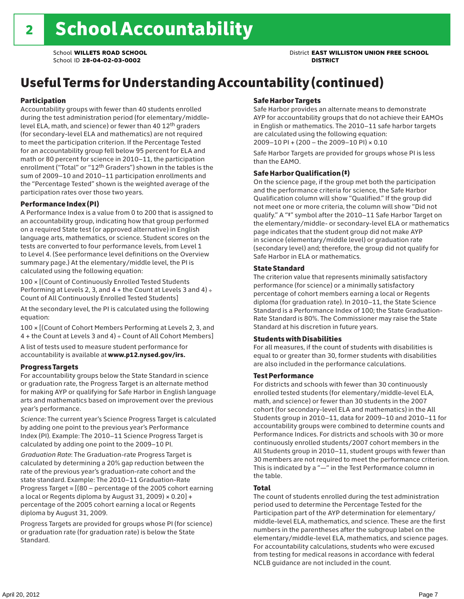# Useful Terms for Understanding Accountability (continued)

#### Participation

Accountability groups with fewer than 40 students enrolled during the test administration period (for elementary/middlelevel ELA, math, and science) or fewer than 40 12th graders (for secondary-level ELA and mathematics) are not required to meet the participation criterion. If the Percentage Tested for an accountability group fell below 95 percent for ELA and math or 80 percent for science in 2010–11, the participation enrollment ("Total" or "12th Graders") shown in the tables is the sum of 2009–10 and 2010–11 participation enrollments and the "Percentage Tested" shown is the weighted average of the participation rates over those two years.

#### Performance Index (PI)

A Performance Index is a value from 0 to 200 that is assigned to an accountability group, indicating how that group performed on a required State test (or approved alternative) in English language arts, mathematics, or science. Student scores on the tests are converted to four performance levels, from Level 1 to Level 4. (See performance level definitions on the Overview summary page.) At the elementary/middle level, the PI is calculated using the following equation:

100 × [(Count of Continuously Enrolled Tested Students Performing at Levels 2, 3, and  $4 +$  the Count at Levels 3 and  $4) \div$ Count of All Continuously Enrolled Tested Students]

At the secondary level, the PI is calculated using the following equation:

100 × [(Count of Cohort Members Performing at Levels 2, 3, and 4 + the Count at Levels 3 and 4) ÷ Count of All Cohort Members]

A list of tests used to measure student performance for accountability is available at www.p12.nysed.gov/irs.

#### Progress Targets

For accountability groups below the State Standard in science or graduation rate, the Progress Target is an alternate method for making AYP or qualifying for Safe Harbor in English language arts and mathematics based on improvement over the previous year's performance.

*Science:* The current year's Science Progress Target is calculated by adding one point to the previous year's Performance Index (PI). Example: The 2010–11 Science Progress Target is calculated by adding one point to the 2009–10 PI.

*Graduation Rate*: The Graduation-rate Progress Target is calculated by determining a 20% gap reduction between the rate of the previous year's graduation-rate cohort and the state standard. Example: The 2010–11 Graduation-Rate Progress Target = [(80 – percentage of the 2005 cohort earning a local or Regents diploma by August 31, 2009)  $\times$  0.20] + percentage of the 2005 cohort earning a local or Regents diploma by August 31, 2009.

Progress Targets are provided for groups whose PI (for science) or graduation rate (for graduation rate) is below the State Standard.

#### Safe Harbor Targets

Safe Harbor provides an alternate means to demonstrate AYP for accountability groups that do not achieve their EAMOs in English or mathematics. The 2010–11 safe harbor targets are calculated using the following equation: 2009–10 PI + (200 – the 2009–10 PI) × 0.10

Safe Harbor Targets are provided for groups whose PI is less than the EAMO.

#### Safe Harbor Qualification (‡)

On the science page, if the group met both the participation and the performance criteria for science, the Safe Harbor Qualification column will show "Qualified." If the group did not meet one or more criteria, the column will show "Did not qualify." A "‡" symbol after the 2010–11 Safe Harbor Target on the elementary/middle- or secondary-level ELA or mathematics page indicates that the student group did not make AYP in science (elementary/middle level) or graduation rate (secondary level) and; therefore, the group did not qualify for Safe Harbor in ELA or mathematics.

#### State Standard

The criterion value that represents minimally satisfactory performance (for science) or a minimally satisfactory percentage of cohort members earning a local or Regents diploma (for graduation rate). In 2010–11, the State Science Standard is a Performance Index of 100; the State Graduation-Rate Standard is 80%. The Commissioner may raise the State Standard at his discretion in future years.

#### Students with Disabilities

For all measures, if the count of students with disabilities is equal to or greater than 30, former students with disabilities are also included in the performance calculations.

#### Test Performance

For districts and schools with fewer than 30 continuously enrolled tested students (for elementary/middle-level ELA, math, and science) or fewer than 30 students in the 2007 cohort (for secondary-level ELA and mathematics) in the All Students group in 2010–11, data for 2009–10 and 2010–11 for accountability groups were combined to determine counts and Performance Indices. For districts and schools with 30 or more continuously enrolled students/2007 cohort members in the All Students group in 2010–11, student groups with fewer than 30 members are not required to meet the performance criterion. This is indicated by a "—" in the Test Performance column in the table.

#### Total

The count of students enrolled during the test administration period used to determine the Percentage Tested for the Participation part of the AYP determination for elementary/ middle-level ELA, mathematics, and science. These are the first numbers in the parentheses after the subgroup label on the elementary/middle-level ELA, mathematics, and science pages. For accountability calculations, students who were excused from testing for medical reasons in accordance with federal NCLB guidance are not included in the count.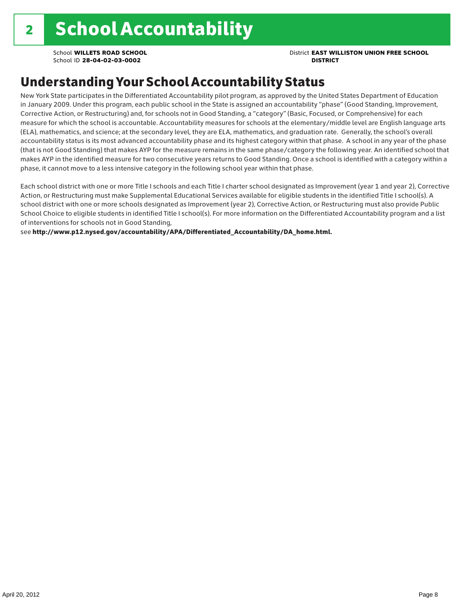### School **WILLETS ROAD SCHOOL** District **EAST WILLISTON UNION FREE SCHOOL**

### Understanding Your School Accountability Status

New York State participates in the Differentiated Accountability pilot program, as approved by the United States Department of Education in January 2009. Under this program, each public school in the State is assigned an accountability "phase" (Good Standing, Improvement, Corrective Action, or Restructuring) and, for schools not in Good Standing, a "category" (Basic, Focused, or Comprehensive) for each measure for which the school is accountable. Accountability measures for schools at the elementary/middle level are English language arts (ELA), mathematics, and science; at the secondary level, they are ELA, mathematics, and graduation rate. Generally, the school's overall accountability status is its most advanced accountability phase and its highest category within that phase. A school in any year of the phase (that is not Good Standing) that makes AYP for the measure remains in the same phase/category the following year. An identified school that makes AYP in the identified measure for two consecutive years returns to Good Standing. Once a school is identified with a category within a phase, it cannot move to a less intensive category in the following school year within that phase.

Each school district with one or more Title I schools and each Title I charter school designated as Improvement (year 1 and year 2), Corrective Action, or Restructuring must make Supplemental Educational Services available for eligible students in the identified Title I school(s). A school district with one or more schools designated as Improvement (year 2), Corrective Action, or Restructuring must also provide Public School Choice to eligible students in identified Title I school(s). For more information on the Differentiated Accountability program and a list of interventions for schools not in Good Standing,

see http://www.p12.nysed.gov/accountability/APA/Differentiated\_Accountability/DA\_home.html.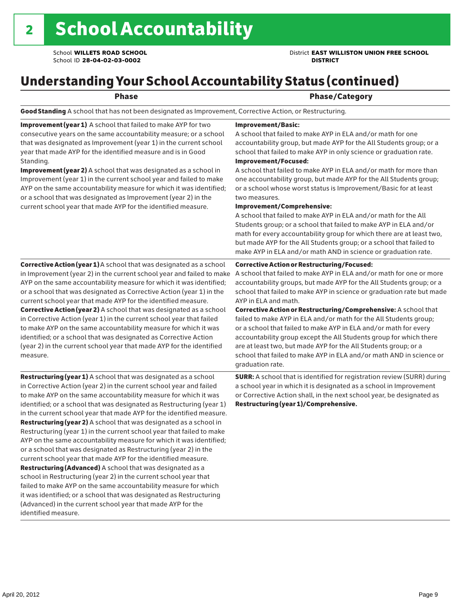### School **WILLETS ROAD SCHOOL** District **EAST WILLISTON UNION FREE SCHOOL**

# Understanding Your School Accountability Status (continued)

### Phase **Phase** Phase/Category

Good Standing A school that has not been designated as Improvement, Corrective Action, or Restructuring.

Improvement (year 1) A school that failed to make AYP for two consecutive years on the same accountability measure; or a school that was designated as Improvement (year 1) in the current school year that made AYP for the identified measure and is in Good Standing.

Improvement (year 2) A school that was designated as a school in Improvement (year 1) in the current school year and failed to make AYP on the same accountability measure for which it was identified; or a school that was designated as Improvement (year 2) in the current school year that made AYP for the identified measure.

#### Corrective Action (year 1) A school that was designated as a school in Improvement (year 2) in the current school year and failed to make AYP on the same accountability measure for which it was identified; or a school that was designated as Corrective Action (year 1) in the current school year that made AYP for the identified measure. Corrective Action (year 2) A school that was designated as a school in Corrective Action (year 1) in the current school year that failed to make AYP on the same accountability measure for which it was identified; or a school that was designated as Corrective Action (year 2) in the current school year that made AYP for the identified measure.

Restructuring (year 1) A school that was designated as a school in Corrective Action (year 2) in the current school year and failed to make AYP on the same accountability measure for which it was identified; or a school that was designated as Restructuring (year 1) in the current school year that made AYP for the identified measure. Restructuring (year 2) A school that was designated as a school in Restructuring (year 1) in the current school year that failed to make AYP on the same accountability measure for which it was identified; or a school that was designated as Restructuring (year 2) in the current school year that made AYP for the identified measure. Restructuring (Advanced) A school that was designated as a school in Restructuring (year 2) in the current school year that failed to make AYP on the same accountability measure for which it was identified; or a school that was designated as Restructuring (Advanced) in the current school year that made AYP for the identified measure.

#### Improvement/Basic:

A school that failed to make AYP in ELA and/or math for one accountability group, but made AYP for the All Students group; or a school that failed to make AYP in only science or graduation rate. Improvement/Focused:

A school that failed to make AYP in ELA and/or math for more than one accountability group, but made AYP for the All Students group; or a school whose worst status is Improvement/Basic for at least two measures.

#### Improvement/Comprehensive:

A school that failed to make AYP in ELA and/or math for the All Students group; or a school that failed to make AYP in ELA and/or math for every accountability group for which there are at least two, but made AYP for the All Students group; or a school that failed to make AYP in ELA and/or math AND in science or graduation rate.

#### Corrective Action or Restructuring/Focused:

A school that failed to make AYP in ELA and/or math for one or more accountability groups, but made AYP for the All Students group; or a school that failed to make AYP in science or graduation rate but made AYP in ELA and math.

Corrective Action or Restructuring/Comprehensive: A school that failed to make AYP in ELA and/or math for the All Students group; or a school that failed to make AYP in ELA and/or math for every accountability group except the All Students group for which there are at least two, but made AYP for the All Students group; or a school that failed to make AYP in ELA and/or math AND in science or graduation rate.

SURR: A school that is identified for registration review (SURR) during a school year in which it is designated as a school in Improvement or Corrective Action shall, in the next school year, be designated as Restructuring (year 1)/Comprehensive.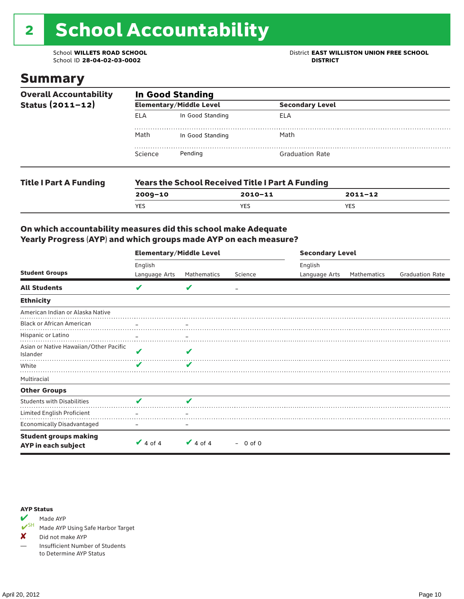# 2 School Accountability

School ID 28-04-02-03-0002

### School **WILLETS ROAD SCHOOL**<br>School ID 28-04-02-03-0002<br>**DISTRICT** DISTRICT

### Summary

| <b>Overall Accountability</b><br>Status (2011-12) | <b>In Good Standing</b> |                                                         |                        |  |  |  |
|---------------------------------------------------|-------------------------|---------------------------------------------------------|------------------------|--|--|--|
|                                                   |                         | <b>Elementary/Middle Level</b>                          | <b>Secondary Level</b> |  |  |  |
|                                                   | ELA                     | In Good Standing                                        | ELA                    |  |  |  |
|                                                   | Math                    | In Good Standing                                        | Math                   |  |  |  |
|                                                   | Science                 | Pendina                                                 | <b>Graduation Rate</b> |  |  |  |
| <b>Title I Part A Funding</b>                     |                         | <b>Years the School Received Title I Part A Funding</b> |                        |  |  |  |

| , <i>.</i> <u>.</u> |            |         |            |  |  |  |
|---------------------|------------|---------|------------|--|--|--|
|                     | 2009-10    | 2010-11 | 2011-12    |  |  |  |
|                     | <b>YES</b> | YES     | <b>YES</b> |  |  |  |
|                     |            |         |            |  |  |  |

### On which accountability measures did this school make Adequate Yearly Progress (AYP) and which groups made AYP on each measure?

|                                                     | <b>Elementary/Middle Level</b> |                   |           |               | <b>Secondary Level</b> |                        |  |  |
|-----------------------------------------------------|--------------------------------|-------------------|-----------|---------------|------------------------|------------------------|--|--|
|                                                     | English                        |                   |           | English       |                        |                        |  |  |
| <b>Student Groups</b>                               | Language Arts                  | Mathematics       | Science   | Language Arts | Mathematics            | <b>Graduation Rate</b> |  |  |
| <b>All Students</b>                                 | V                              | v                 |           |               |                        |                        |  |  |
| <b>Ethnicity</b>                                    |                                |                   |           |               |                        |                        |  |  |
| American Indian or Alaska Native                    |                                |                   |           |               |                        |                        |  |  |
| <b>Black or African American</b>                    |                                | $\qquad \qquad -$ |           |               |                        |                        |  |  |
| Hispanic or Latino                                  |                                |                   |           |               |                        |                        |  |  |
| Asian or Native Hawaiian/Other Pacific<br>Islander  | V                              | ✔                 |           |               |                        |                        |  |  |
| White                                               | V                              | v                 |           |               |                        |                        |  |  |
| Multiracial                                         |                                |                   |           |               |                        |                        |  |  |
| <b>Other Groups</b>                                 |                                |                   |           |               |                        |                        |  |  |
| <b>Students with Disabilities</b>                   | u                              | u                 |           |               |                        |                        |  |  |
| Limited English Proficient                          |                                |                   |           |               |                        |                        |  |  |
| <b>Economically Disadvantaged</b>                   |                                |                   |           |               |                        |                        |  |  |
| <b>Student groups making</b><br>AYP in each subject | $\vee$ 4 of 4                  | $\vee$ 4 of 4     | $-0$ of 0 |               |                        |                        |  |  |



Made AYP Using Safe Harbor Target

✘ Did not make AYP

— Insufficient Number of Students to Determine AYP Status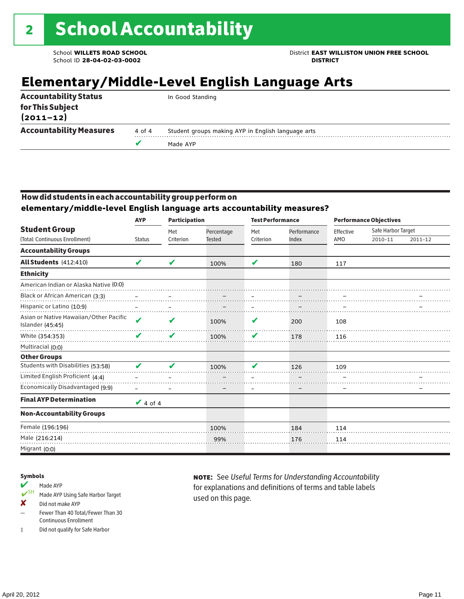School **WILLETS ROAD SCHOOL** District **EAST WILLISTON UNION FREE SCHOOL**

### **Elementary/Middle-Level English Language Arts**

| <b>Accountability Status</b>      |        | In Good Standing                                   |
|-----------------------------------|--------|----------------------------------------------------|
| for This Subject<br>$(2011 - 12)$ |        |                                                    |
| <b>Accountability Measures</b>    | 4 of 4 | Student groups making AYP in English language arts |
|                                   |        | Made AYP                                           |
|                                   |        |                                                    |

### How did students in each accountability group perform on

**elementary/middle-level English language arts accountability measures?**

|                                                            | <b>Participation</b><br><b>AYP</b> |                  |                             | <b>Test Performance</b> |                      | <b>Performance Objectives</b> |                               |             |
|------------------------------------------------------------|------------------------------------|------------------|-----------------------------|-------------------------|----------------------|-------------------------------|-------------------------------|-------------|
| <b>Student Group</b><br>(Total: Continuous Enrollment)     | <b>Status</b>                      | Met<br>Criterion | Percentage<br><b>Tested</b> | Met<br>Criterion        | Performance<br>Index | Effective<br>AMO              | Safe Harbor Target<br>2010-11 | $2011 - 12$ |
| <b>Accountability Groups</b>                               |                                    |                  |                             |                         |                      |                               |                               |             |
| All Students (412:410)                                     | V                                  | V                | 100%                        | V                       | 180                  | 117                           |                               |             |
| <b>Ethnicity</b>                                           |                                    |                  |                             |                         |                      |                               |                               |             |
| American Indian or Alaska Native (0:0)                     |                                    |                  |                             |                         |                      |                               |                               |             |
| Black or African American (3:3)                            |                                    |                  |                             |                         |                      |                               |                               |             |
| Hispanic or Latino (10:9)                                  |                                    |                  |                             |                         |                      |                               |                               |             |
| Asian or Native Hawaiian/Other Pacific<br>Islander (45:45) | V                                  | V                | 100%                        | V                       | 200                  | 108                           |                               |             |
| White (354:353)                                            | V                                  | V                | 100%                        | V                       | 178                  | 116                           |                               |             |
| Multiracial (0:0)                                          |                                    |                  |                             |                         |                      |                               |                               |             |
| <b>Other Groups</b>                                        |                                    |                  |                             |                         |                      |                               |                               |             |
| Students with Disabilities (53:58)                         | V                                  | V                | 100%                        | V                       | 126                  | 109                           |                               |             |
| Limited English Proficient (4:4)                           |                                    |                  |                             |                         |                      |                               |                               |             |
| Economically Disadvantaged (9:9)                           |                                    |                  | -                           |                         |                      | $\overline{\phantom{0}}$      |                               |             |
| <b>Final AYP Determination</b>                             | $\vee$ 4 of 4                      |                  |                             |                         |                      |                               |                               |             |
| <b>Non-Accountability Groups</b>                           |                                    |                  |                             |                         |                      |                               |                               |             |
| Female (196:196)                                           |                                    |                  | 100%                        |                         | 184                  | 114                           |                               |             |
| Male (216:214)                                             |                                    |                  | 99%                         |                         | 176                  | 114                           |                               |             |
| Migrant (0:0)                                              |                                    |                  |                             |                         |                      |                               |                               |             |

#### Symbols

#### Made AYP

- ✔SH Made AYP Using Safe Harbor Target
- ✘ Did not make AYP
- Fewer Than 40 Total/Fewer Than 30 Continuous Enrollment
- ‡ Did not qualify for Safe Harbor

note: See *Useful Terms for Understanding Accountability*  for explanations and definitions of terms and table labels used on this page.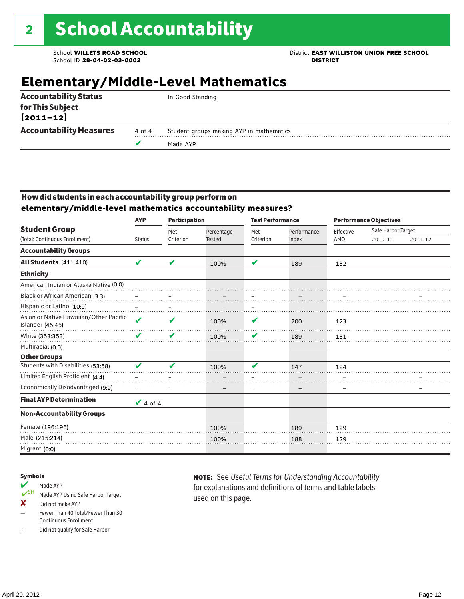### School **WILLETS ROAD SCHOOL** District **EAST WILLISTON UNION FREE SCHOOL**

### **Elementary/Middle-Level Mathematics**

| for This Subject<br>$(2011 - 12)$<br><b>Accountability Measures</b><br>Student groups making AYP in mathematics<br>4 of 4 |                              | Made AYP         |
|---------------------------------------------------------------------------------------------------------------------------|------------------------------|------------------|
|                                                                                                                           |                              |                  |
|                                                                                                                           | <b>Accountability Status</b> | In Good Standing |

### How did students in each accountability group perform on **elementary/middle-level mathematics accountability measures?**

|                                                            | <b>AYP</b>         | <b>Participation</b> |                             | <b>Test Performance</b> |                      | <b>Performance Objectives</b> |                               |         |
|------------------------------------------------------------|--------------------|----------------------|-----------------------------|-------------------------|----------------------|-------------------------------|-------------------------------|---------|
| <b>Student Group</b><br>(Total: Continuous Enrollment)     | <b>Status</b>      | Met<br>Criterion     | Percentage<br><b>Tested</b> | Met<br>Criterion        | Performance<br>Index | Effective<br>AMO              | Safe Harbor Target<br>2010-11 | 2011-12 |
| <b>Accountability Groups</b>                               |                    |                      |                             |                         |                      |                               |                               |         |
| All Students (411:410)                                     | V                  | ✔                    | 100%                        | V                       | 189                  | 132                           |                               |         |
| <b>Ethnicity</b>                                           |                    |                      |                             |                         |                      |                               |                               |         |
| American Indian or Alaska Native (0:0)                     |                    |                      |                             |                         |                      |                               |                               |         |
| Black or African American (3:3)                            |                    |                      |                             |                         |                      |                               |                               |         |
| Hispanic or Latino (10:9)                                  |                    |                      |                             |                         |                      |                               |                               |         |
| Asian or Native Hawaiian/Other Pacific<br>Islander (45:45) | $\boldsymbol{\nu}$ | V                    | 100%                        | V                       | 200                  | 123                           |                               |         |
| White (353:353)                                            |                    | V                    | 100%                        | V                       | 189                  | 131                           |                               |         |
| Multiracial (0:0)                                          |                    |                      |                             |                         |                      |                               |                               |         |
| <b>Other Groups</b>                                        |                    |                      |                             |                         |                      |                               |                               |         |
| Students with Disabilities (53:58)                         | J                  | ر .                  | 100%                        | u                       | 147                  | 124                           |                               |         |
| Limited English Proficient (4:4)                           |                    |                      |                             |                         |                      |                               |                               |         |
| Economically Disadvantaged (9:9)                           |                    |                      |                             |                         |                      |                               |                               |         |
| <b>Final AYP Determination</b>                             | $\vee$ 4 of 4      |                      |                             |                         |                      |                               |                               |         |
| <b>Non-Accountability Groups</b>                           |                    |                      |                             |                         |                      |                               |                               |         |
| Female (196:196)                                           |                    |                      | 100%                        |                         | 189                  | 129                           |                               |         |
| Male (215:214)                                             |                    |                      | 100%                        |                         | 188                  | 129                           |                               |         |
| Migrant (0:0)                                              |                    |                      |                             |                         |                      |                               |                               |         |

#### Symbols

- Made AYP<br>
SH Made AYP Made AYP Using Safe Harbor Target
- ✘ Did not make AYP
- Fewer Than 40 Total/Fewer Than 30 Continuous Enrollment
- ‡ Did not qualify for Safe Harbor

note: See *Useful Terms for Understanding Accountability*  for explanations and definitions of terms and table labels used on this page.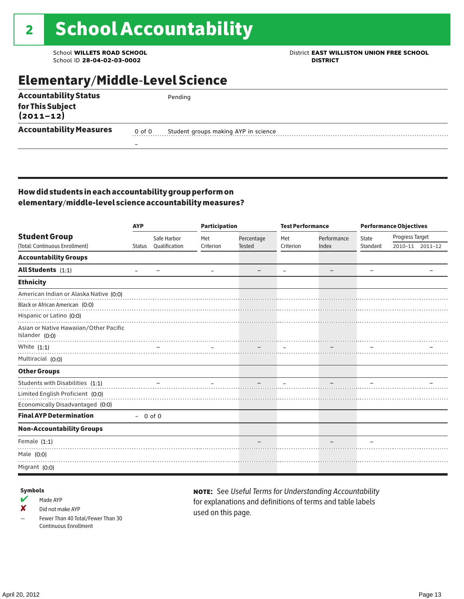### School **WILLETS ROAD SCHOOL**<br>School ID 28-04-02-03-0002<br>**DISTRICT** DISTRICT

### Elementary/Middle-Level Science

| <b>Accountability Status</b>      |        | Pending                              |  |
|-----------------------------------|--------|--------------------------------------|--|
| for This Subject<br>$(2011 - 12)$ |        |                                      |  |
| <b>Accountability Measures</b>    | 0 of 0 | Student groups making AYP in science |  |
|                                   | -      |                                      |  |

### How did students in each accountability group perform on elementary/middle-level science accountability measures?

|                                                          | <b>AYP</b>                   |               |           | <b>Participation</b> |                          | <b>Test Performance</b>  |                          | <b>Performance Objectives</b> |                 |  |
|----------------------------------------------------------|------------------------------|---------------|-----------|----------------------|--------------------------|--------------------------|--------------------------|-------------------------------|-----------------|--|
| <b>Student Group</b>                                     |                              | Safe Harbor   | Met       | Percentage           | Met                      | Performance              | State                    | Progress Target               |                 |  |
| (Total: Continuous Enrollment)                           | Status                       | Qualification | Criterion | <b>Tested</b>        | Criterion                | Index                    | Standard                 |                               | 2010-11 2011-12 |  |
| <b>Accountability Groups</b>                             |                              |               |           |                      |                          |                          |                          |                               |                 |  |
| All Students $(1:1)$                                     | $\qquad \qquad \blacksquare$ |               |           |                      | $\overline{\phantom{m}}$ | $\overline{\phantom{m}}$ | $\overline{\phantom{0}}$ |                               |                 |  |
| <b>Ethnicity</b>                                         |                              |               |           |                      |                          |                          |                          |                               |                 |  |
| American Indian or Alaska Native (0:0)                   |                              |               |           |                      |                          |                          |                          |                               |                 |  |
| Black or African American (0:0)                          |                              |               |           |                      |                          |                          |                          |                               |                 |  |
| Hispanic or Latino (0:0)                                 |                              |               |           |                      |                          |                          |                          |                               |                 |  |
| Asian or Native Hawaiian/Other Pacific<br>Islander (0:0) |                              |               |           |                      |                          |                          |                          |                               |                 |  |
| White $(1:1)$                                            |                              |               |           |                      |                          |                          |                          |                               |                 |  |
| Multiracial (0:0)                                        |                              |               |           |                      |                          |                          |                          |                               |                 |  |
| <b>Other Groups</b>                                      |                              |               |           |                      |                          |                          |                          |                               |                 |  |
| Students with Disabilities (1:1)                         |                              |               |           |                      |                          |                          |                          |                               |                 |  |
| Limited English Proficient (0:0)                         |                              |               |           |                      |                          |                          |                          |                               |                 |  |
| Economically Disadvantaged (0:0)                         |                              |               |           |                      |                          |                          |                          |                               |                 |  |
| <b>Final AYP Determination</b>                           | $-0$ of 0                    |               |           |                      |                          |                          |                          |                               |                 |  |
| <b>Non-Accountability Groups</b>                         |                              |               |           |                      |                          |                          |                          |                               |                 |  |
| Female $(1:1)$                                           |                              |               |           |                      |                          |                          |                          |                               |                 |  |
| Male (0:0)                                               |                              |               |           |                      |                          |                          |                          |                               |                 |  |
| Migrant (0:0)                                            |                              |               |           |                      |                          |                          |                          |                               |                 |  |

#### Symbols

- $M$  Made AYP
- ✘ Did not make AYP
- Fewer Than 40 Total/Fewer Than 30 Continuous Enrollment

note: See *Useful Terms for Understanding Accountability*  for explanations and definitions of terms and table labels used on this page.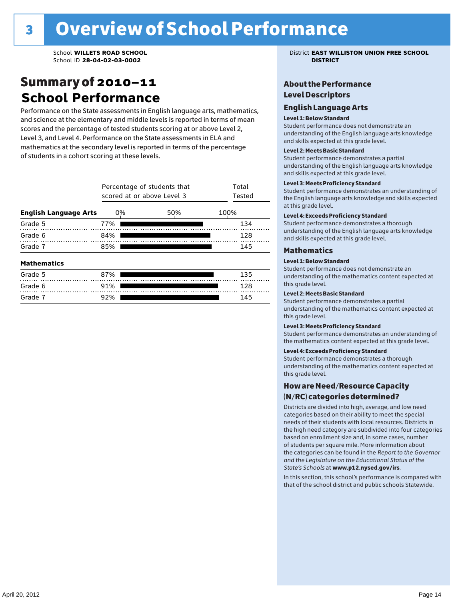### Summary of 2010–11 **School Performance**

Performance on the State assessments in English language arts, mathematics, and science at the elementary and middle levels is reported in terms of mean scores and the percentage of tested students scoring at or above Level 2, Level 3, and Level 4. Performance on the State assessments in ELA and mathematics at the secondary level is reported in terms of the percentage of students in a cohort scoring at these levels.

|                              | Percentage of students that<br>scored at or above Level 3 | Total<br>Tested |      |
|------------------------------|-----------------------------------------------------------|-----------------|------|
| <b>English Language Arts</b> | 0%                                                        | 50%             | 100% |
| Grade 5                      | 77%                                                       |                 | 134  |
| Grade 6                      | 84%                                                       |                 | 128  |
| Grade 7                      | 85%                                                       | 145             |      |
| <b>Mathematics</b>           |                                                           |                 |      |
| Grade 5                      | 87%                                                       |                 | 135  |
| Grade 6                      | 91%                                                       |                 | 128  |
| Grade 7                      | 92%                                                       |                 | 145  |

School **WILLETS ROAD SCHOOL** District **EAST WILLISTON UNION FREE SCHOOL**

### About the Performance Level Descriptors

#### English Language Arts English Language Arts

#### Level 1: Below Standard

understanding of the content expected in the subjection of the subjection  $\mathcal{L}$ Student performance does not demonstrate an and skills expected at this grade level. understanding of the English language arts knowledge

#### Student performance demonstrates a partial Level 2: Meets Basic Standard understanding of the content expected in the subject of the subject of the subject of the subject of the subject

Student performance demonstrates a partial and skills expected at this grade level. Students performance demonstrates and understanding and understanding and understanding and understanding and u understanding of the English language arts knowledge

#### Level 3: Meets Proficiency Standard

Level 4: Meeting Learning Standards with Distinction. the English language arts knowledge and skills expected at this grade level.<br>at this grade level.  $\mathbf{u}$  and  $\mathbf{y}$  and  $\mathbf{u}$  the subjected in the subjected in the subjected in the subjection  $\mathbf{y}$ Student performance demonstrates an understanding of

#### Level 4: Exceeds Proficiency Standard

understanding of the English language arts knowledge and skills expected at this grade level.<br>———————————————————— Student performance demonstrates a thorough

#### Districts are districts and low need and low need  $\sim$

#### categories based on their ability to meet the special Level 1: Below Standard

Student performance does not demonstrate an understanding of the mathematics content expected at  $\frac{1}{2}$  based on enrollment size and, in some cases, number  $\frac{1}{2}$  and,  $\frac{1}{2}$  and,  $\frac{1}{2}$ 

### $\overline{\phantom{a}}$  students about  $\overline{\phantom{a}}$  . More is about  $\overline{\phantom{a}}$  about  $\overline{\phantom{a}}$  about  $\overline{\phantom{a}}$

the categories can be found in the *Report to the Governor categories* can be found in the *Report to the Govern*or  $\alpha$ *and the Legislature on the Educational Status of the*  Student performance demonstrates a partial understanding of the mathematics content expected at this grade level.

#### Level 3: Meets Proficiency Standard

Student performance demonstrates an understanding of the mathematics content expected at this grade level.

#### Level 4: Exceeds Proficiency Standard

Student performance demonstrates a thorough understanding of the mathematics content expected at this grade level.  $\mathcal{L}_{\text{max}}$  is performance with that of similar  $\mathcal{L}_{\text{max}}$ 

#### schools. The following factors are considered in grouping How are Need/Resource Capacity  $(N/RC)$  categories determined?  $\hphantom{N(2)}\sum_{n=1}^{\infty}\frac{1}{n}$

Districts are divided into high, average, and low need categories based on their ability to meet the special needs of their students with local resources. Districts in the high need category are subdivided into four categories based on enrollment size and, in some cases, number of students per square mile. More information about the categories can be found in the *Report to the Governor* Group: *State's Schools* at www.p12.nysed.gov/irs. *and the Legislature on the Educational Status of the* 

In this section, this school's performance is compared with that of the school district and public schools Statewide.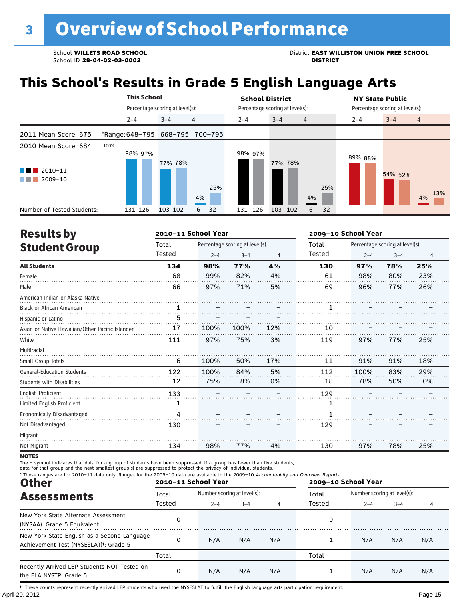# **This School's Results in Grade 5 English Language Arts**

|                                                                          | <b>This School</b>              |                                 |                | <b>School District</b>          | <b>NY State Public</b> |                                 |
|--------------------------------------------------------------------------|---------------------------------|---------------------------------|----------------|---------------------------------|------------------------|---------------------------------|
|                                                                          |                                 | Percentage scoring at level(s): |                | Percentage scoring at level(s): |                        | Percentage scoring at level(s): |
|                                                                          | $2 - 4$                         | 4<br>$3 - 4$                    | $2 - 4$        | $3 - 4$<br>$\overline{4}$       | $2 - 4$                | $3 - 4$<br>$\overline{4}$       |
| 2011 Mean Score: 675                                                     | *Range: 648-795 668-795 700-795 |                                 |                |                                 |                        |                                 |
| 2010 Mean Score: 684<br>$\blacksquare$ 2010-11<br>$\blacksquare$ 2009-10 | 100%<br>98% 97%                 | 77% 78%<br>4%                   | 98% 97%<br>25% | 77% 78%<br>25%<br>4%            | 89% 88%                | 54% 52%<br>13%<br>4%            |
| Number of Tested Students:                                               | 131 126                         | 103 102<br>6                    | 131 126<br>32  | 103 102<br>32<br>6              |                        |                                 |

| <b>Results by</b>                               |              | 2010-11 School Year |                                 |     | 2009-10 School Year |         |                                 |     |
|-------------------------------------------------|--------------|---------------------|---------------------------------|-----|---------------------|---------|---------------------------------|-----|
| <b>Student Group</b>                            | Total        |                     | Percentage scoring at level(s): |     | Total               |         | Percentage scoring at level(s): |     |
|                                                 | Tested       | $2 - 4$             | $3 - 4$                         | 4   | Tested              | $2 - 4$ | $3 - 4$                         | 4   |
| <b>All Students</b>                             | 134          | 98%                 | 77%                             | 4%  | 130                 | 97%     | 78%                             | 25% |
| Female                                          | 68           | 99%                 | 82%                             | 4%  | 61                  | 98%     | 80%                             | 23% |
| Male                                            | 66           | 97%                 | 71%                             | 5%  | 69                  | 96%     | 77%                             | 26% |
| American Indian or Alaska Native                |              |                     |                                 |     |                     |         |                                 |     |
| <b>Black or African American</b>                | $\mathbf{1}$ |                     |                                 |     |                     |         |                                 |     |
| Hispanic or Latino                              | 5            |                     |                                 |     |                     |         |                                 |     |
| Asian or Native Hawaiian/Other Pacific Islander | 17           | 100%                | 100%                            | 12% | 10                  |         |                                 |     |
| White                                           | 111          | 97%                 | 75%                             | 3%  | 119                 | 97%     | 77%                             | 25% |
| Multiracial                                     |              |                     |                                 |     |                     |         |                                 |     |
| Small Group Totals                              | 6            | 100%                | 50%                             | 17% | 11                  | 91%     | 91%                             | 18% |
| <b>General-Education Students</b>               | 122          | 100%                | 84%                             | 5%  | 112                 | 100%    | 83%                             | 29% |
| <b>Students with Disabilities</b>               | 12           | 75%                 | 8%                              | 0%  | 18                  | 78%     | 50%                             | 0%  |
| <b>English Proficient</b>                       | 133          |                     |                                 |     | 129                 |         |                                 |     |
| Limited English Proficient                      | 1            |                     |                                 |     | 1                   |         |                                 |     |
| Economically Disadvantaged                      | 4            |                     |                                 |     | 1                   |         |                                 |     |
| Not Disadvantaged                               | 130          |                     |                                 |     | 129                 |         |                                 |     |
| Migrant                                         |              |                     |                                 |     |                     |         |                                 |     |
| Not Migrant                                     | 134          | 98%                 | 77%                             | 4%  | 130                 | 97%     | 78%                             | 25% |

**NOTES** 

The – symbol indicates that data for a group of students have been suppressed. If a group has fewer than five students,<br>data for that group and the next smallest group(s) are suppressed to protect the privacy of individual

| * These ranges are for 2010-11 data only. Ranges for the 2009-10 data are available in the 2009-10 Accountability and Overview Reports.<br><b>Other</b> |        | 2010-11 School Year         |         |     | 2009-10 School Year |                             |         |     |
|---------------------------------------------------------------------------------------------------------------------------------------------------------|--------|-----------------------------|---------|-----|---------------------|-----------------------------|---------|-----|
| <b>Assessments</b>                                                                                                                                      | Total  | Number scoring at level(s): |         |     | Total               | Number scoring at level(s): |         |     |
|                                                                                                                                                         | Tested | $2 - 4$                     | $3 - 4$ |     | Tested              | $2 - 4$                     | $3 - 4$ |     |
| New York State Alternate Assessment<br>(NYSAA): Grade 5 Equivalent                                                                                      | 0      |                             |         |     | 0                   |                             |         |     |
| New York State English as a Second Language<br>Achievement Test (NYSESLAT) <sup>+</sup> : Grade 5                                                       | 0      | N/A                         | N/A     | N/A |                     | N/A                         | N/A     | N/A |
|                                                                                                                                                         | Total  |                             |         |     | Total               |                             |         |     |
| Recently Arrived LEP Students NOT Tested on<br>the ELA NYSTP: Grade 5                                                                                   | 0      | N/A                         | N/A     | N/A |                     | N/A                         | N/A     | N/A |

April 20, 2012 Page 15 † These counts represent recently arrived LEP students who used the NYSESLAT to fulfill the English language arts participation requirement.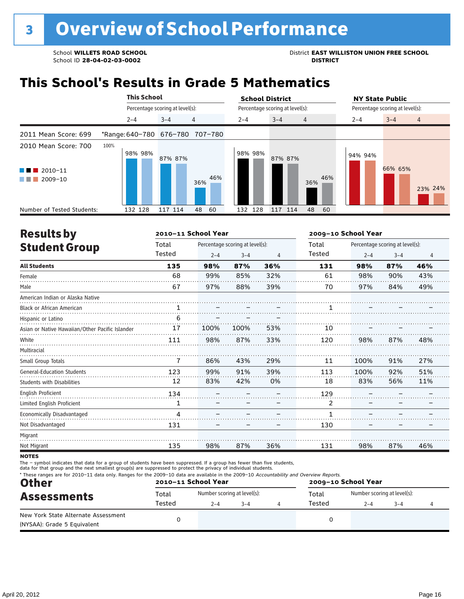School **WILLETS ROAD SCHOOL**<br>School ID 28-04-02-03-0002<br>**DISTRICT** DISTRICT

### **This School's Results in Grade 5 Mathematics**

|                                                            |                                 | <b>This School</b><br>Percentage scoring at level(s): |            |         | <b>School District</b>          | <b>NY State Public</b>               |
|------------------------------------------------------------|---------------------------------|-------------------------------------------------------|------------|---------|---------------------------------|--------------------------------------|
|                                                            |                                 |                                                       |            |         | Percentage scoring at level(s): | Percentage scoring at level(s):      |
|                                                            | $2 - 4$                         | $3 - 4$                                               | 4          | $2 - 4$ | $3 - 4$<br>$\overline{4}$       | $3 - 4$<br>$2 - 4$<br>$\overline{4}$ |
| 2011 Mean Score: 699                                       | *Range: 640-780 676-780 707-780 |                                                       |            |         |                                 |                                      |
| 2010 Mean Score: 700<br>$2010 - 11$<br>l T<br>2009-10<br>. | 100%<br>98% 98%                 | 87% 87%                                               | 46%<br>36% | 98% 98% | 87% 87%<br>36%                  | 94% 94%<br>66% 65%<br>46%<br>23% 24% |
| Number of Tested Students:                                 | 132 128                         | 117 114                                               | 48<br>-60  | 132 128 | 117<br>48<br>114                | 60                                   |

| <b>Results by</b>                               |               | 2010-11 School Year |                                 |                | 2009-10 School Year |         |                                 |     |
|-------------------------------------------------|---------------|---------------------|---------------------------------|----------------|---------------------|---------|---------------------------------|-----|
| <b>Student Group</b>                            | Total         |                     | Percentage scoring at level(s): |                | Total               |         | Percentage scoring at level(s): |     |
|                                                 | <b>Tested</b> | $2 - 4$             | $3 - 4$                         | $\overline{4}$ | Tested              | $2 - 4$ | $3 - 4$                         | 4   |
| <b>All Students</b>                             | 135           | 98%                 | 87%                             | 36%            | 131                 | 98%     | 87%                             | 46% |
| Female                                          | 68            | 99%                 | 85%                             | 32%            | 61                  | 98%     | 90%                             | 43% |
| Male                                            | 67            | 97%                 | 88%                             | 39%            | 70                  | 97%     | 84%                             | 49% |
| American Indian or Alaska Native                |               |                     |                                 |                |                     |         |                                 |     |
| <b>Black or African American</b>                | $\mathbf{1}$  |                     |                                 |                |                     |         |                                 |     |
| Hispanic or Latino                              | 6             |                     |                                 |                |                     |         |                                 |     |
| Asian or Native Hawaiian/Other Pacific Islander | 17            | 100%                | 100%                            | 53%            | 10                  |         |                                 |     |
| White                                           | 111           | 98%                 | 87%                             | 33%            | 120                 | 98%     | 87%                             | 48% |
| Multiracial                                     |               |                     |                                 |                |                     |         |                                 |     |
| Small Group Totals                              | 7             | 86%                 | 43%                             | 29%            | 11                  | 100%    | 91%                             | 27% |
| <b>General-Education Students</b>               | 123           | 99%                 | 91%                             | 39%            | 113                 | 100%    | 92%                             | 51% |
| <b>Students with Disabilities</b>               | 12            | 83%                 | 42%                             | 0%             | 18                  | 83%     | 56%                             | 11% |
| <b>English Proficient</b>                       | 134           |                     |                                 |                | 129                 |         |                                 |     |
| Limited English Proficient                      | 1             |                     |                                 |                | $\overline{2}$      |         |                                 |     |
| Economically Disadvantaged                      | 4             |                     |                                 |                | $\mathbf{1}$        |         |                                 |     |
| Not Disadvantaged                               | 131           |                     |                                 |                | 130                 |         |                                 |     |
| Migrant                                         |               |                     |                                 |                |                     |         |                                 |     |
| Not Migrant                                     | 135           | 98%                 | 87%                             | 36%            | 131                 | 98%     | 87%                             | 46% |
|                                                 |               |                     |                                 |                |                     |         |                                 |     |

**NOTES** 

The – symbol indicates that data for a group of students have been suppressed. If a group has fewer than five students,

data for that group and the next smallest group(s) are suppressed to protect the privacy of individual students.

| <b>Other</b>                                                       |        | 2010-11 School Year         |         | * These ranges are for 2010-11 data only. Ranges for the 2009-10 data are available in the 2009-10 Accountability and Overview Reports.<br>2009-10 School Year |        |                             |         |  |
|--------------------------------------------------------------------|--------|-----------------------------|---------|----------------------------------------------------------------------------------------------------------------------------------------------------------------|--------|-----------------------------|---------|--|
| <b>Assessments</b>                                                 | Total  | Number scoring at level(s): |         |                                                                                                                                                                | Total  | Number scoring at level(s): |         |  |
|                                                                    | Tested | $2 - 4$                     | $3 - 4$ |                                                                                                                                                                | Tested | $2 - 4$                     | $3 - 4$ |  |
| New York State Alternate Assessment<br>(NYSAA): Grade 5 Equivalent |        |                             |         |                                                                                                                                                                |        |                             |         |  |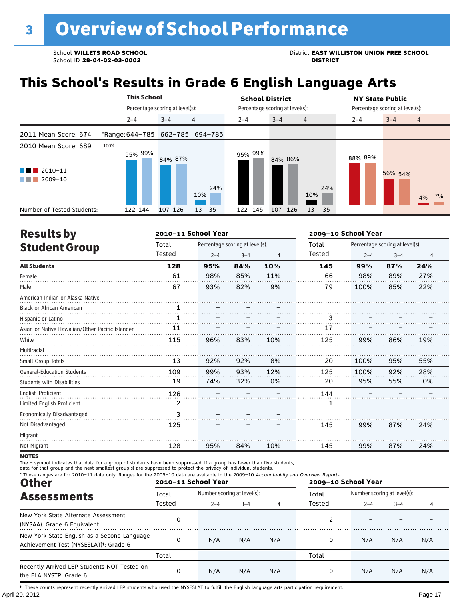# **This School's Results in Grade 6 English Language Arts**

|                                                | <b>This School</b>              |                                 |                | <b>School District</b> |                                 | <b>NY State Public</b> |                                 |  |  |
|------------------------------------------------|---------------------------------|---------------------------------|----------------|------------------------|---------------------------------|------------------------|---------------------------------|--|--|
|                                                |                                 | Percentage scoring at level(s): |                |                        | Percentage scoring at level(s): |                        | Percentage scoring at level(s): |  |  |
|                                                | $2 - 4$                         | $3 - 4$                         | $\overline{4}$ | $2 - 4$                | $3 - 4$<br>$\overline{4}$       | $2 - 4$                | $3 - 4$<br>$\overline{4}$       |  |  |
| 2011 Mean Score: 674                           | *Range: 644-785 662-785 694-785 |                                 |                |                        |                                 |                        |                                 |  |  |
| 2010 Mean Score: 689<br>$\blacksquare$ 2010-11 | 100%<br>95% 99%                 | 84% 87%                         |                | 95% 99%                | 84% 86%                         | 88% 89%                |                                 |  |  |
| $\blacksquare$ 2009-10                         |                                 |                                 | 24%<br>10%     |                        | 24%<br>10%                      |                        | 56% 54%<br>7%<br>4%             |  |  |
| Number of Tested Students:                     | 122 144                         | 107 126                         | 13<br>35       | 122 145                | 107 126<br>13<br>35             |                        |                                 |  |  |

| <b>Results by</b>                               |              | 2010-11 School Year |                                 |                | 2009-10 School Year |         |                                 |                |  |
|-------------------------------------------------|--------------|---------------------|---------------------------------|----------------|---------------------|---------|---------------------------------|----------------|--|
| <b>Student Group</b>                            | Total        |                     | Percentage scoring at level(s): |                | Total               |         | Percentage scoring at level(s): |                |  |
|                                                 | Tested       | $2 - 4$             | $3 - 4$                         | $\overline{4}$ | Tested              | $2 - 4$ | $3 - 4$                         | $\overline{4}$ |  |
| <b>All Students</b>                             | 128          | 95%                 | 84%                             | 10%            | 145                 | 99%     | 87%                             | 24%            |  |
| Female                                          | 61           | 98%                 | 85%                             | 11%            | 66                  | 98%     | 89%                             | 27%            |  |
| Male                                            | 67           | 93%                 | 82%                             | 9%             | 79                  | 100%    | 85%                             | 22%            |  |
| American Indian or Alaska Native                |              |                     |                                 |                |                     |         |                                 |                |  |
| <b>Black or African American</b>                | 1            |                     |                                 |                |                     |         |                                 |                |  |
| Hispanic or Latino                              | $\mathbf{1}$ |                     |                                 |                | 3                   |         |                                 |                |  |
| Asian or Native Hawaiian/Other Pacific Islander | 11           |                     |                                 |                | 17                  |         |                                 |                |  |
| White                                           | 115          | 96%                 | 83%                             | 10%            | 125                 | 99%     | 86%                             | 19%            |  |
| Multiracial                                     |              |                     |                                 |                |                     |         |                                 |                |  |
| Small Group Totals                              | 13           | 92%                 | 92%                             | 8%             | 20                  | 100%    | 95%                             | 55%            |  |
| <b>General-Education Students</b>               | 109          | 99%                 | 93%                             | 12%            | 125                 | 100%    | 92%                             | 28%            |  |
| <b>Students with Disabilities</b>               | 19           | 74%                 | 32%                             | 0%             | 20                  | 95%     | 55%                             | 0%             |  |
| English Proficient                              | 126          |                     |                                 |                | 144                 |         |                                 |                |  |
| Limited English Proficient                      | 2            |                     |                                 |                | 1                   |         |                                 |                |  |
| Economically Disadvantaged                      | 3            |                     |                                 |                |                     |         |                                 |                |  |
| Not Disadvantaged                               | 125          |                     |                                 |                | 145                 | 99%     | 87%                             | 24%            |  |
| Migrant                                         |              |                     |                                 |                |                     |         |                                 |                |  |
| Not Migrant                                     | 128          | 95%                 | 84%                             | 10%            | 145                 | 99%     | 87%                             | 24%            |  |

**NOTES** 

The – symbol indicates that data for a group of students have been suppressed. If a group has fewer than five students,<br>data for that group and the next smallest group(s) are suppressed to protect the privacy of individual

| * These ranges are for 2010-11 data only. Ranges for the 2009-10 data are available in the 2009-10 Accountability and Overview Reports.<br><b>Other</b> |        | 2010-11 School Year         |              |     | 2009-10 School Year |                             |         |     |  |
|---------------------------------------------------------------------------------------------------------------------------------------------------------|--------|-----------------------------|--------------|-----|---------------------|-----------------------------|---------|-----|--|
| <b>Assessments</b>                                                                                                                                      | Total  | Number scoring at level(s): |              |     | Total               | Number scoring at level(s): |         |     |  |
|                                                                                                                                                         | Tested | $2 - 4$                     | $3 - 4$<br>4 |     | Tested              | $2 - 4$                     | $3 - 4$ | 4   |  |
| New York State Alternate Assessment<br>(NYSAA): Grade 6 Equivalent                                                                                      | 0      |                             |              |     |                     |                             |         |     |  |
| New York State English as a Second Language<br>Achievement Test (NYSESLAT) <sup>+</sup> : Grade 6                                                       | 0      | N/A                         | N/A          | N/A | 0                   | N/A                         | N/A     | N/A |  |
|                                                                                                                                                         | Total  |                             |              |     | Total               |                             |         |     |  |
| Recently Arrived LEP Students NOT Tested on<br>the ELA NYSTP: Grade 6                                                                                   | 0      | N/A                         | N/A          | N/A | 0                   | N/A                         | N/A     | N/A |  |

April 20, 2012 Page 17 † These counts represent recently arrived LEP students who used the NYSESLAT to fulfill the English language arts participation requirement.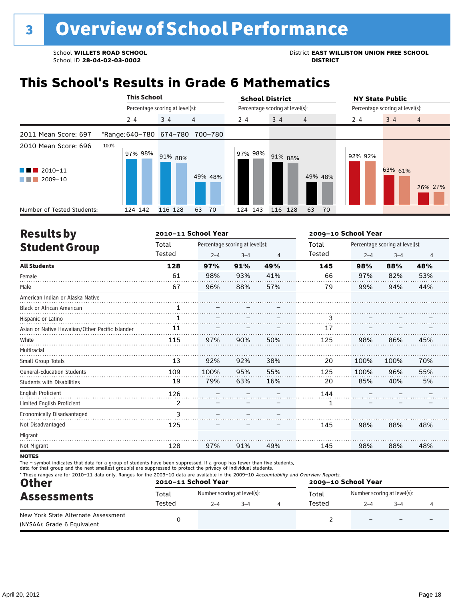School **WILLETS ROAD SCHOOL**<br>School ID 28-04-02-03-0002<br>**DISTRICT** DISTRICT

### **This School's Results in Grade 6 Mathematics**

|                                                                            | <b>This School</b>              |                                 |                | <b>School District</b> |                                 | <b>NY State Public</b>               |
|----------------------------------------------------------------------------|---------------------------------|---------------------------------|----------------|------------------------|---------------------------------|--------------------------------------|
|                                                                            |                                 | Percentage scoring at level(s): |                |                        | Percentage scoring at level(s): | Percentage scoring at level(s):      |
|                                                                            | $2 - 4$                         | $3 - 4$                         | $\overline{4}$ | $2 - 4$                | $3 - 4$<br>$\overline{4}$       | $3 - 4$<br>$2 - 4$<br>$\overline{4}$ |
| 2011 Mean Score: 697                                                       | *Range: 640-780 674-780 700-780 |                                 |                |                        |                                 |                                      |
| 2010 Mean Score: 696<br>$2010 - 11$<br><b>Contract Contract</b><br>2009-10 | 100%<br>97% 98%                 | 91% 88%                         | 49% 48%        | 97% 98%                | 91% 88%<br>49% 48%              | 92% 92%<br>63% 61%<br>26% 27%        |
| Number of Tested Students:                                                 | 124 142                         | 116 128                         | 63<br>70       | 124 143                | 116 128<br>63<br>70             |                                      |

| <b>Results by</b>                               |        | 2010-11 School Year |                                 |     | 2009-10 School Year |         |                                 |     |  |
|-------------------------------------------------|--------|---------------------|---------------------------------|-----|---------------------|---------|---------------------------------|-----|--|
| <b>Student Group</b>                            | Total  |                     | Percentage scoring at level(s): |     | Total               |         | Percentage scoring at level(s): |     |  |
|                                                 | Tested | $2 - 4$             | $3 - 4$                         | 4   | Tested              | $2 - 4$ | $3 - 4$                         | 4   |  |
| <b>All Students</b>                             | 128    | 97%                 | 91%                             | 49% | 145                 | 98%     | 88%                             | 48% |  |
| Female                                          | 61     | 98%                 | 93%                             | 41% | 66                  | 97%     | 82%                             | 53% |  |
| Male                                            | 67     | 96%                 | 88%                             | 57% | 79                  | 99%     | 94%                             | 44% |  |
| American Indian or Alaska Native                |        |                     |                                 |     |                     |         |                                 |     |  |
| <b>Black or African American</b>                | 1      |                     |                                 |     |                     |         |                                 |     |  |
| Hispanic or Latino                              | 1      |                     |                                 |     | 3                   |         |                                 |     |  |
| Asian or Native Hawaiian/Other Pacific Islander | 11     |                     |                                 |     | 17                  |         |                                 |     |  |
| White                                           | 115    | 97%                 | 90%                             | 50% | 125                 | 98%     | 86%                             | 45% |  |
| Multiracial                                     |        |                     |                                 |     |                     |         |                                 |     |  |
| Small Group Totals                              | 13     | 92%                 | 92%                             | 38% | 20                  | 100%    | 100%                            | 70% |  |
| <b>General-Education Students</b>               | 109    | 100%                | 95%                             | 55% | 125                 | 100%    | 96%                             | 55% |  |
| <b>Students with Disabilities</b>               | 19     | 79%                 | 63%                             | 16% | 20                  | 85%     | 40%                             | 5%  |  |
| <b>English Proficient</b>                       | 126    |                     |                                 |     | 144                 |         |                                 |     |  |
| Limited English Proficient                      | 2      |                     |                                 |     | 1                   |         |                                 |     |  |
| Economically Disadvantaged                      | 3      |                     |                                 |     |                     |         |                                 |     |  |
| Not Disadvantaged                               | 125    |                     |                                 |     | 145                 | 98%     | 88%                             | 48% |  |
| Migrant                                         |        |                     |                                 |     |                     |         |                                 |     |  |
| Not Migrant                                     | 128    | 97%                 | 91%                             | 49% | 145                 | 98%     | 88%                             | 48% |  |

**NOTES** 

The – symbol indicates that data for a group of students have been suppressed. If a group has fewer than five students,<br>data for that group and the next smallest group(s) are suppressed to protect the privacy of individual

| <b>Other</b>                                                       |                                        | 2010-11 School Year         |  | 2009-10 School Year |       |                             |         |  |
|--------------------------------------------------------------------|----------------------------------------|-----------------------------|--|---------------------|-------|-----------------------------|---------|--|
| <b>Assessments</b>                                                 | Total                                  | Number scoring at level(s): |  |                     | Total | Number scoring at level(s): |         |  |
|                                                                    | Tested<br>Tested<br>$2 - 4$<br>$3 - 4$ |                             |  |                     |       | $2 - 4$                     | $3 - 4$ |  |
| New York State Alternate Assessment<br>(NYSAA): Grade 6 Equivalent |                                        |                             |  |                     |       |                             |         |  |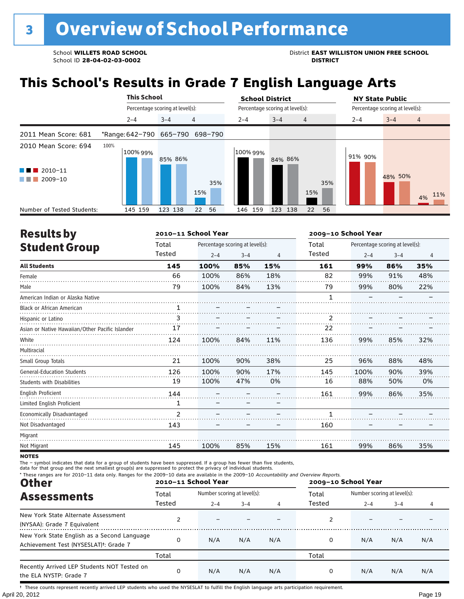School **WILLETS ROAD SCHOOL**<br>School ID 28-04-02-03-0002<br>**DISTRICT** DISTRICT

# **This School's Results in Grade 7 English Language Arts**

|                                                | <b>This School</b> |                                 | <b>School District</b>               | <b>NY State Public</b>               |
|------------------------------------------------|--------------------|---------------------------------|--------------------------------------|--------------------------------------|
|                                                |                    | Percentage scoring at level(s): | Percentage scoring at level(s):      | Percentage scoring at level(s):      |
|                                                | $2 - 4$            | 4<br>$3 - 4$                    | $3 - 4$<br>$2 - 4$<br>$\overline{4}$ | $3 - 4$<br>$\overline{4}$<br>$2 - 4$ |
| 2011 Mean Score: 681                           |                    | *Range: 642-790 665-790 698-790 |                                      |                                      |
| 2010 Mean Score: 694<br>$\blacksquare$ 2010-11 | 100%<br>100% 99%   | 85% 86%                         | 100% 99%<br>84% 86%                  | 91% 90%<br>48% 50%                   |
| 2009-10                                        |                    | 35%<br>15%                      | 15%                                  | 35%<br>11%<br>4%                     |
| Number of Tested Students:                     | 145 159            | 123 138<br>22<br>56             | 146 159<br>123 138<br>22             | 56                                   |

| <b>Results by</b>                               |                | 2010-11 School Year |                                 |     | 2009-10 School Year |         |                                 |                |  |
|-------------------------------------------------|----------------|---------------------|---------------------------------|-----|---------------------|---------|---------------------------------|----------------|--|
| <b>Student Group</b>                            | Total          |                     | Percentage scoring at level(s): |     | Total               |         | Percentage scoring at level(s): |                |  |
|                                                 | Tested         | $2 - 4$             | $3 - 4$                         | 4   | Tested              | $2 - 4$ | $3 - 4$                         | $\overline{4}$ |  |
| <b>All Students</b>                             | 145            | 100%                | 85%                             | 15% | 161                 | 99%     | 86%                             | 35%            |  |
| Female                                          | 66             | 100%                | 86%                             | 18% | 82                  | 99%     | 91%                             | 48%            |  |
| Male                                            | 79             | 100%                | 84%                             | 13% | 79                  | 99%     | 80%                             | 22%            |  |
| American Indian or Alaska Native                |                |                     |                                 |     | 1                   |         |                                 |                |  |
| <b>Black or African American</b>                | 1              |                     |                                 |     |                     |         |                                 |                |  |
| Hispanic or Latino                              | 3              |                     |                                 |     | 2                   |         |                                 |                |  |
| Asian or Native Hawaiian/Other Pacific Islander | 17             |                     |                                 |     | 22                  |         |                                 |                |  |
| White                                           | 124            | 100%                | 84%                             | 11% | 136                 | 99%     | 85%                             | 32%            |  |
| Multiracial                                     |                |                     |                                 |     |                     |         |                                 |                |  |
| Small Group Totals                              | 21             | 100%                | 90%                             | 38% | 25                  | 96%     | 88%                             | 48%            |  |
| <b>General-Education Students</b>               | 126            | 100%                | 90%                             | 17% | 145                 | 100%    | 90%                             | 39%            |  |
| <b>Students with Disabilities</b>               | 19             | 100%                | 47%                             | 0%  | 16                  | 88%     | 50%                             | 0%             |  |
| <b>English Proficient</b>                       | 144            |                     |                                 |     | 161                 | 99%     | 86%                             | 35%            |  |
| Limited English Proficient                      | 1              |                     |                                 |     |                     |         |                                 |                |  |
| Economically Disadvantaged                      | $\mathfrak{p}$ |                     |                                 |     | 1                   |         |                                 |                |  |
| Not Disadvantaged                               | 143            |                     |                                 |     | 160                 |         |                                 |                |  |
| Migrant                                         |                |                     |                                 |     |                     |         |                                 |                |  |
| Not Migrant                                     | 145            | 100%                | 85%                             | 15% | 161                 | 99%     | 86%                             | 35%            |  |

**NOTES** 

The – symbol indicates that data for a group of students have been suppressed. If a group has fewer than five students,<br>data for that group and the next smallest group(s) are suppressed to protect the privacy of individual

| * These ranges are for 2010-11 data only. Ranges for the 2009-10 data are available in the 2009-10 Accountability and Overview Reports.<br><b>Other</b> |        | 2010-11 School Year         |         |     | 2009-10 School Year |                             |         |     |
|---------------------------------------------------------------------------------------------------------------------------------------------------------|--------|-----------------------------|---------|-----|---------------------|-----------------------------|---------|-----|
| <b>Assessments</b>                                                                                                                                      | Total  | Number scoring at level(s): |         |     | Total               | Number scoring at level(s): |         |     |
|                                                                                                                                                         | Tested | $2 - 4$                     | $3 - 4$ |     | Tested              | $2 - 4$                     | $3 - 4$ |     |
| New York State Alternate Assessment<br>(NYSAA): Grade 7 Equivalent                                                                                      |        |                             |         |     |                     |                             |         |     |
| New York State English as a Second Language<br>Achievement Test (NYSESLAT) <sup>t</sup> : Grade 7                                                       | 0      | N/A                         | N/A     | N/A | 0                   | N/A                         | N/A     | N/A |
|                                                                                                                                                         | Total  |                             |         |     | Total               |                             |         |     |
| Recently Arrived LEP Students NOT Tested on<br>the ELA NYSTP: Grade 7                                                                                   | 0      | N/A                         | N/A     | N/A | 0                   | N/A                         | N/A     | N/A |

April 20, 2012 Page 19 † These counts represent recently arrived LEP students who used the NYSESLAT to fulfill the English language arts participation requirement.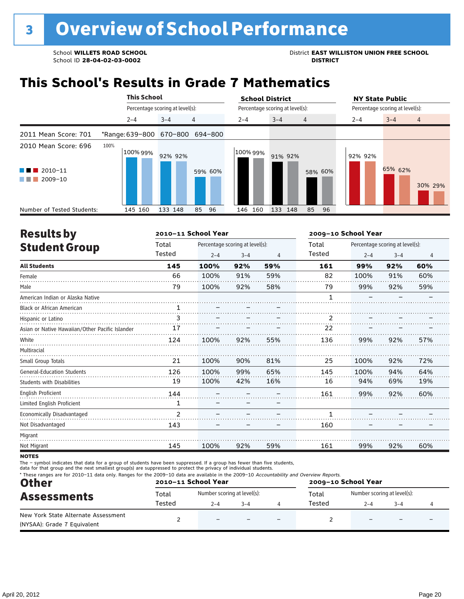School **WILLETS ROAD SCHOOL**<br>School ID 28-04-02-03-0002<br>**DISTRICT** DISTRICT

## **This School's Results in Grade 7 Mathematics**

|                                                                              | <b>This School</b>              |                                 |          | <b>School District</b> |                                 | <b>NY State Public</b>               |
|------------------------------------------------------------------------------|---------------------------------|---------------------------------|----------|------------------------|---------------------------------|--------------------------------------|
|                                                                              |                                 | Percentage scoring at level(s): |          |                        | Percentage scoring at level(s): | Percentage scoring at level(s):      |
|                                                                              | $2 - 4$                         | $3 - 4$                         | 4        | $2 - 4$                | $3 - 4$<br>$\overline{4}$       | $3 - 4$<br>$2 - 4$<br>$\overline{4}$ |
| 2011 Mean Score: 701                                                         | *Range: 639-800 670-800 694-800 |                                 |          |                        |                                 |                                      |
| 2010 Mean Score: 696<br>$\blacksquare$ 2010-11<br>a ka<br>2009-10<br>a sa na | 100%<br>100% 99%                | 92% 92%                         | 59% 60%  | 100% 99%               | 91% 92%<br>58% 60%              | 92% 92%<br>65% 62%<br>30% 29%        |
| Number of Tested Students:                                                   | 145 160                         | 133 148                         | 85<br>96 | 160<br>146             | 133<br>85<br>148                | 96                                   |

| <b>Results by</b>                               |                | 2010-11 School Year |                                 |     | 2009-10 School Year |         |                                 |                |  |
|-------------------------------------------------|----------------|---------------------|---------------------------------|-----|---------------------|---------|---------------------------------|----------------|--|
| <b>Student Group</b>                            | Total          |                     | Percentage scoring at level(s): |     | Total               |         | Percentage scoring at level(s): |                |  |
|                                                 | Tested         | $2 - 4$             | $3 - 4$                         | 4   | Tested              | $2 - 4$ | $3 - 4$                         | $\overline{4}$ |  |
| <b>All Students</b>                             | 145            | 100%                | 92%                             | 59% | 161                 | 99%     | 92%                             | 60%            |  |
| Female                                          | 66             | 100%                | 91%                             | 59% | 82                  | 100%    | 91%                             | 60%            |  |
| Male                                            | 79             | 100%                | 92%                             | 58% | 79                  | 99%     | 92%                             | 59%            |  |
| American Indian or Alaska Native                |                |                     |                                 |     |                     |         |                                 |                |  |
| <b>Black or African American</b>                | $\mathbf{1}$   |                     |                                 |     |                     |         |                                 |                |  |
| Hispanic or Latino                              | 3              |                     |                                 |     | 2                   |         |                                 |                |  |
| Asian or Native Hawaiian/Other Pacific Islander | 17             |                     |                                 |     | 22                  |         |                                 |                |  |
| White                                           | 124            | 100%                | 92%                             | 55% | 136                 | 99%     | 92%                             | 57%            |  |
| Multiracial                                     |                |                     |                                 |     |                     |         |                                 |                |  |
| Small Group Totals                              | 21             | 100%                | 90%                             | 81% | 25                  | 100%    | 92%                             | 72%            |  |
| <b>General-Education Students</b>               | 126            | 100%                | 99%                             | 65% | 145                 | 100%    | 94%                             | 64%            |  |
| <b>Students with Disabilities</b>               | 19             | 100%                | 42%                             | 16% | 16                  | 94%     | 69%                             | 19%            |  |
| <b>English Proficient</b>                       | 144            |                     |                                 |     | 161                 | 99%     | 92%                             | 60%            |  |
| Limited English Proficient                      | 1              |                     |                                 |     |                     |         |                                 |                |  |
| Economically Disadvantaged                      | $\overline{2}$ |                     |                                 |     | 1                   |         |                                 |                |  |
| Not Disadvantaged                               | 143            |                     |                                 |     | 160                 |         |                                 |                |  |
| Migrant                                         |                |                     |                                 |     |                     |         |                                 |                |  |
| Not Migrant                                     | 145            | 100%                | 92%                             | 59% | 161                 | 99%     | 92%                             | 60%            |  |

**NOTES** 

The – symbol indicates that data for a group of students have been suppressed. If a group has fewer than five students,<br>data for that group and the next smallest group(s) are suppressed to protect the privacy of individual

| * These ranges are for 2010-11 data only. Ranges for the 2009-10 data are available in the 2009-10 Accountability and Overview Reports.<br><b>Other</b> |        | 2010-11 School Year         |         | 2009-10 School Year |        |                             |         |  |
|---------------------------------------------------------------------------------------------------------------------------------------------------------|--------|-----------------------------|---------|---------------------|--------|-----------------------------|---------|--|
| <b>Assessments</b>                                                                                                                                      | Total  | Number scoring at level(s): |         |                     | Total  | Number scoring at level(s): |         |  |
|                                                                                                                                                         | Tested | $2 - 4$                     | $3 - 4$ |                     | Tested | $2 - 4$                     | $3 - 4$ |  |
| New York State Alternate Assessment<br>(NYSAA): Grade 7 Equivalent                                                                                      |        | $\overline{\phantom{0}}$    |         |                     |        |                             |         |  |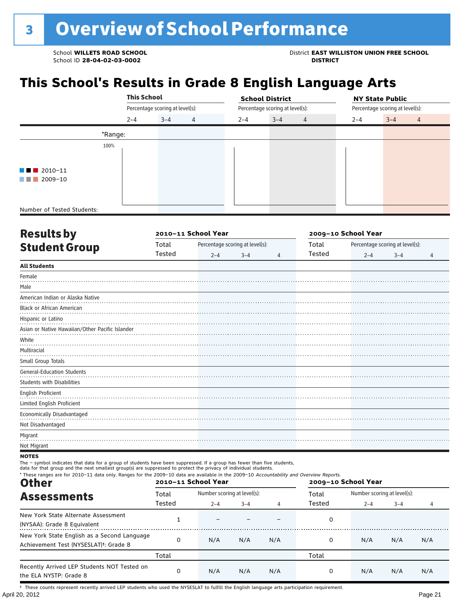School **WILLETS ROAD SCHOOL**<br>School ID 28-04-02-03-0002<br>**DISTRICT** DISTRICT

# **This School's Results in Grade 8 English Language Arts**

|                            |         | <b>This School</b><br>Percentage scoring at level(s): |   |         | <b>School District</b>          |         | <b>NY State Public</b>          |
|----------------------------|---------|-------------------------------------------------------|---|---------|---------------------------------|---------|---------------------------------|
|                            |         |                                                       |   |         | Percentage scoring at level(s): |         | Percentage scoring at level(s): |
|                            | $2 - 4$ | $3 - 4$                                               | 4 | $2 - 4$ | $3 - 4$<br>$\overline{4}$       | $2 - 4$ | $3 - 4$<br>$\overline{4}$       |
|                            | *Range: |                                                       |   |         |                                 |         |                                 |
|                            | 100%    |                                                       |   |         |                                 |         |                                 |
|                            |         |                                                       |   |         |                                 |         |                                 |
| $\blacksquare$ 2010-11     |         |                                                       |   |         |                                 |         |                                 |
| 2009-10<br>an sa sa        |         |                                                       |   |         |                                 |         |                                 |
|                            |         |                                                       |   |         |                                 |         |                                 |
|                            |         |                                                       |   |         |                                 |         |                                 |
| Number of Tested Students: |         |                                                       |   |         |                                 |         |                                 |

| <b>Results by</b>                               |        | 2010-11 School Year |                                 | 2009-10 School Year |        |         |                                 |                |
|-------------------------------------------------|--------|---------------------|---------------------------------|---------------------|--------|---------|---------------------------------|----------------|
| <b>Student Group</b>                            | Total  |                     | Percentage scoring at level(s): |                     | Total  |         | Percentage scoring at level(s): |                |
|                                                 | Tested | $2 - 4$             | $3 - 4$                         | 4                   | Tested | $2 - 4$ | $3 - 4$                         | $\overline{4}$ |
| <b>All Students</b>                             |        |                     |                                 |                     |        |         |                                 |                |
| Female                                          |        |                     |                                 |                     |        |         |                                 |                |
| Male                                            |        |                     |                                 |                     |        |         |                                 |                |
| American Indian or Alaska Native                |        |                     |                                 |                     |        |         |                                 |                |
| <b>Black or African American</b>                |        |                     |                                 |                     |        |         |                                 |                |
| Hispanic or Latino                              |        |                     |                                 |                     |        |         |                                 |                |
| Asian or Native Hawaiian/Other Pacific Islander |        |                     |                                 |                     |        |         |                                 |                |
| White                                           |        |                     |                                 |                     |        |         |                                 |                |
| Multiracial                                     |        |                     |                                 |                     |        |         |                                 |                |
| Small Group Totals                              |        |                     |                                 |                     |        |         |                                 |                |
| <b>General-Education Students</b>               |        |                     |                                 |                     |        |         |                                 |                |
| Students with Disabilities                      |        |                     |                                 |                     |        |         |                                 |                |
| English Proficient                              |        |                     |                                 |                     |        |         |                                 |                |
| Limited English Proficient                      |        |                     |                                 |                     |        |         |                                 |                |
| Economically Disadvantaged                      |        |                     |                                 |                     |        |         |                                 |                |
| Not Disadvantaged                               |        |                     |                                 |                     |        |         |                                 |                |
| Migrant                                         |        |                     |                                 |                     |        |         |                                 |                |
| Not Migrant                                     |        |                     |                                 |                     |        |         |                                 |                |

**NOTES** 

The – symbol indicates that data for a group of students have been suppressed. If a group has fewer than five students,

data for that group and the next smallest group(s) are suppressed to protect the privacy of individual students.

| * These ranges are for 2010-11 data only. Ranges for the 2009-10 data are available in the 2009-10 Accountability and Overview Reports.<br><b>Other</b> |                 | 2010-11 School Year                    |         |     | 2009-10 School Year |                                        |         |     |
|---------------------------------------------------------------------------------------------------------------------------------------------------------|-----------------|----------------------------------------|---------|-----|---------------------|----------------------------------------|---------|-----|
| <b>Assessments</b>                                                                                                                                      | Total<br>Tested | Number scoring at level(s):<br>$2 - 4$ | $3 - 4$ | 4   | Total<br>Tested     | Number scoring at level(s):<br>$2 - 4$ | $3 - 4$ | 4   |
| New York State Alternate Assessment<br>(NYSAA): Grade 8 Equivalent                                                                                      |                 |                                        |         |     | 0                   |                                        |         |     |
| New York State English as a Second Language<br>Achievement Test (NYSESLAT) <sup>†</sup> : Grade 8                                                       | $\Omega$        | N/A                                    | N/A     | N/A | 0                   | N/A                                    | N/A     | N/A |
|                                                                                                                                                         | Total           |                                        |         |     | Total               |                                        |         |     |
| Recently Arrived LEP Students NOT Tested on<br>the ELA NYSTP: Grade 8                                                                                   | 0               | N/A                                    | N/A     | N/A | 0                   | N/A                                    | N/A     | N/A |

April 20, 2012 Page 21 † These counts represent recently arrived LEP students who used the NYSESLAT to fulfill the English language arts participation requirement.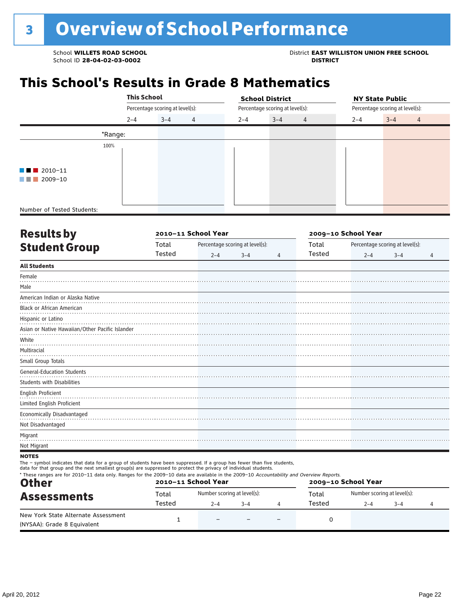School **WILLETS ROAD SCHOOL**<br>School ID 28-04-02-03-0002<br>**DISTRICT** DISTRICT

# **This School's Results in Grade 8 Mathematics**

|                            |         | <b>This School</b>              |   |                                 | <b>School District</b> |                |                                 | <b>NY State Public</b> |                |  |
|----------------------------|---------|---------------------------------|---|---------------------------------|------------------------|----------------|---------------------------------|------------------------|----------------|--|
|                            |         | Percentage scoring at level(s): |   | Percentage scoring at level(s): |                        |                | Percentage scoring at level(s): |                        |                |  |
|                            | $2 - 4$ | $3 - 4$                         | 4 | $2 - 4$                         | $3 - 4$                | $\overline{4}$ | $2 - 4$                         | $3 - 4$                | $\overline{4}$ |  |
|                            | *Range: |                                 |   |                                 |                        |                |                                 |                        |                |  |
| 100%                       |         |                                 |   |                                 |                        |                |                                 |                        |                |  |
|                            |         |                                 |   |                                 |                        |                |                                 |                        |                |  |
| $\blacksquare$ 2010-11     |         |                                 |   |                                 |                        |                |                                 |                        |                |  |
| 2009-10                    |         |                                 |   |                                 |                        |                |                                 |                        |                |  |
|                            |         |                                 |   |                                 |                        |                |                                 |                        |                |  |
|                            |         |                                 |   |                                 |                        |                |                                 |                        |                |  |
| Number of Tested Students: |         |                                 |   |                                 |                        |                |                                 |                        |                |  |

| <b>Results by</b>                               |        | 2010-11 School Year |                                 | 2009-10 School Year |        |         |                                 |                |
|-------------------------------------------------|--------|---------------------|---------------------------------|---------------------|--------|---------|---------------------------------|----------------|
| <b>Student Group</b>                            | Total  |                     | Percentage scoring at level(s): |                     | Total  |         | Percentage scoring at level(s): |                |
|                                                 | Tested | $2 - 4$             | $3 - 4$                         | $\overline{4}$      | Tested | $2 - 4$ | $3 - 4$                         | $\overline{4}$ |
| <b>All Students</b>                             |        |                     |                                 |                     |        |         |                                 |                |
| Female                                          |        |                     |                                 |                     |        |         |                                 |                |
| Male                                            |        |                     |                                 |                     |        |         |                                 |                |
| American Indian or Alaska Native                |        |                     |                                 |                     |        |         |                                 |                |
| <b>Black or African American</b>                |        |                     |                                 |                     |        |         |                                 |                |
| Hispanic or Latino                              |        |                     |                                 |                     |        |         |                                 |                |
| Asian or Native Hawaiian/Other Pacific Islander |        |                     |                                 |                     |        |         |                                 |                |
| White                                           |        |                     |                                 |                     |        |         |                                 |                |
| Multiracial                                     |        |                     |                                 |                     |        |         |                                 |                |
| Small Group Totals                              |        |                     |                                 |                     |        |         |                                 |                |
| <b>General-Education Students</b>               |        |                     |                                 |                     |        |         |                                 |                |
| <b>Students with Disabilities</b>               |        |                     |                                 |                     |        |         |                                 |                |
| English Proficient                              |        |                     |                                 |                     |        |         |                                 |                |
| Limited English Proficient                      |        |                     |                                 |                     |        |         |                                 |                |
| Economically Disadvantaged                      |        |                     |                                 |                     |        |         |                                 |                |
| Not Disadvantaged                               |        |                     |                                 |                     |        |         |                                 |                |
| Migrant                                         |        |                     |                                 |                     |        |         |                                 |                |
| Not Migrant                                     |        |                     |                                 |                     |        |         |                                 |                |
| <b>NATEC</b>                                    |        |                     |                                 |                     |        |         |                                 |                |

**NOTES** 

The – symbol indicates that data for a group of students have been suppressed. If a group has fewer than five students,

data for that group and the next smallest group(s) are suppressed to protect the privacy of individual students.

| <b>Other</b>                                                       |        | 2010-11 School Year         |         | 2009-10 School Year |        |                             |         |  |
|--------------------------------------------------------------------|--------|-----------------------------|---------|---------------------|--------|-----------------------------|---------|--|
| <b>Assessments</b>                                                 | Total  | Number scoring at level(s): |         |                     | Total  | Number scoring at level(s): |         |  |
|                                                                    | Tested | 2–4                         | $3 - 4$ |                     | Tested | $2 - 4$                     | $3 - 4$ |  |
| New York State Alternate Assessment<br>(NYSAA): Grade 8 Equivalent |        | $\overline{\phantom{0}}$    |         |                     |        |                             |         |  |